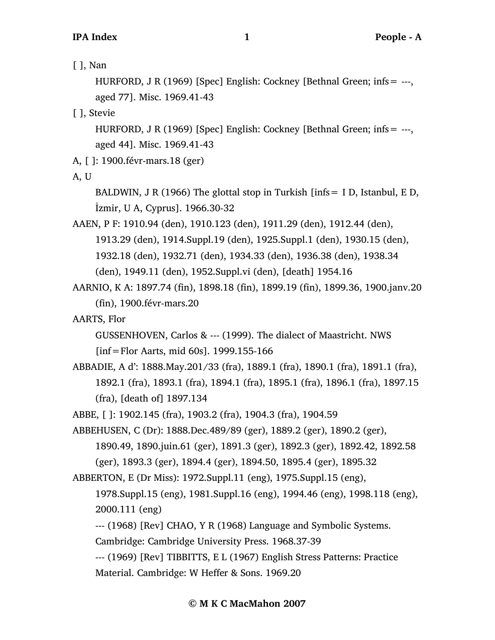[ ], Nan

HURFORD, J R (1969) [Spec] English: Cockney [Bethnal Green; infs= ---, aged 77]. Misc. 1969.41-43

[ ], Stevie

HURFORD, J R (1969) [Spec] English: Cockney [Bethnal Green; infs= ---, aged 44]. Misc. 1969.41-43

A, [ ]: 1900.févr-mars.18 (ger)

A, U

BALDWIN, J R (1966) The glottal stop in Turkish  $[ints = I D, Istanbul, E D,$ İzmir, U A, Cyprus]. 1966.30-32

AAEN, P F: 1910.94 (den), 1910.123 (den), 1911.29 (den), 1912.44 (den), 1913.29 (den), 1914.Suppl.19 (den), 1925.Suppl.1 (den), 1930.15 (den), 1932.18 (den), 1932.71 (den), 1934.33 (den), 1936.38 (den), 1938.34 (den), 1949.11 (den), 1952.Suppl.vi (den), [death] 1954.16

AARNIO, K A: 1897.74 (fin), 1898.18 (fin), 1899.19 (fin), 1899.36, 1900.janv.20 (fin), 1900.févr-mars.20

AARTS, Flor

GUSSENHOVEN, Carlos & --- (1999). The dialect of Maastricht. NWS

[inf=Flor Aarts, mid 60s]. 1999.155-166

ABBADIE, A d': 1888.May.201/33 (fra), 1889.1 (fra), 1890.1 (fra), 1891.1 (fra), 1892.1 (fra), 1893.1 (fra), 1894.1 (fra), 1895.1 (fra), 1896.1 (fra), 1897.15 (fra), [death of] 1897.134

ABBE, [ ]: 1902.145 (fra), 1903.2 (fra), 1904.3 (fra), 1904.59

ABBEHUSEN, C (Dr): 1888.Dec.489/89 (ger), 1889.2 (ger), 1890.2 (ger),

1890.49, 1890.juin.61 (ger), 1891.3 (ger), 1892.3 (ger), 1892.42, 1892.58 (ger), 1893.3 (ger), 1894.4 (ger), 1894.50, 1895.4 (ger), 1895.32

ABBERTON, E (Dr Miss): 1972.Suppl.11 (eng), 1975.Suppl.15 (eng),

1978.Suppl.15 (eng), 1981.Suppl.16 (eng), 1994.46 (eng), 1998.118 (eng), 2000.111 (eng)

--- (1968) [Rev] CHAO, Y R (1968) Language and Symbolic Systems.

Cambridge: Cambridge University Press. 1968.37-39

--- (1969) [Rev] TIBBITTS, E L (1967) English Stress Patterns: Practice

Material. Cambridge: W Heffer & Sons. 1969.20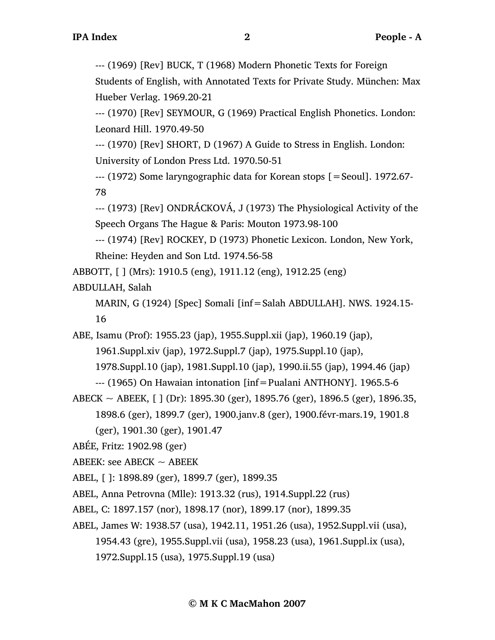--- (1969) [Rev] BUCK, T (1968) Modern Phonetic Texts for Foreign

Students of English, with Annotated Texts for Private Study. München: Max Hueber Verlag. 1969.20-21

--- (1970) [Rev] SEYMOUR, G (1969) Practical English Phonetics. London: Leonard Hill. 1970.49-50

--- (1970) [Rev] SHORT, D (1967) A Guide to Stress in English. London: University of London Press Ltd. 1970.50-51

--- (1972) Some laryngographic data for Korean stops [=Seoul]. 1972.67- 78

--- (1973) [Rev] ONDRÁCKOVÁ, J (1973) The Physiological Activity of the Speech Organs The Hague & Paris: Mouton 1973.98-100

--- (1974) [Rev] ROCKEY, D (1973) Phonetic Lexicon. London, New York, Rheine: Heyden and Son Ltd. 1974.56-58

ABBOTT, [ ] (Mrs): 1910.5 (eng), 1911.12 (eng), 1912.25 (eng)

ABDULLAH, Salah

MARIN, G (1924) [Spec] Somali [inf=Salah ABDULLAH]. NWS. 1924.15- 16

ABE, Isamu (Prof): 1955.23 (jap), 1955.Suppl.xii (jap), 1960.19 (jap),

1961.Suppl.xiv (jap), 1972.Suppl.7 (jap), 1975.Suppl.10 (jap),

1978.Suppl.10 (jap), 1981.Suppl.10 (jap), 1990.ii.55 (jap), 1994.46 (jap)

```
--- (1965) On Hawaian intonation [inf=Pualani ANTHONY]. 1965.5-6
```
ABECK  $\sim$  ABEEK, [ ] (Dr): 1895.30 (ger), 1895.76 (ger), 1896.5 (ger), 1896.35, 1898.6 (ger), 1899.7 (ger), 1900.janv.8 (ger), 1900.févr-mars.19, 1901.8 (ger), 1901.30 (ger), 1901.47

ABÉE, Fritz: 1902.98 (ger)

ABEEK: see ABECK  $\sim$  ABEEK

ABEL, [ ]: 1898.89 (ger), 1899.7 (ger), 1899.35

ABEL, Anna Petrovna (Mlle): 1913.32 (rus), 1914.Suppl.22 (rus)

ABEL, C: 1897.157 (nor), 1898.17 (nor), 1899.17 (nor), 1899.35

ABEL, James W: 1938.57 (usa), 1942.11, 1951.26 (usa), 1952.Suppl.vii (usa), 1954.43 (gre), 1955.Suppl.vii (usa), 1958.23 (usa), 1961.Suppl.ix (usa), 1972.Suppl.15 (usa), 1975.Suppl.19 (usa)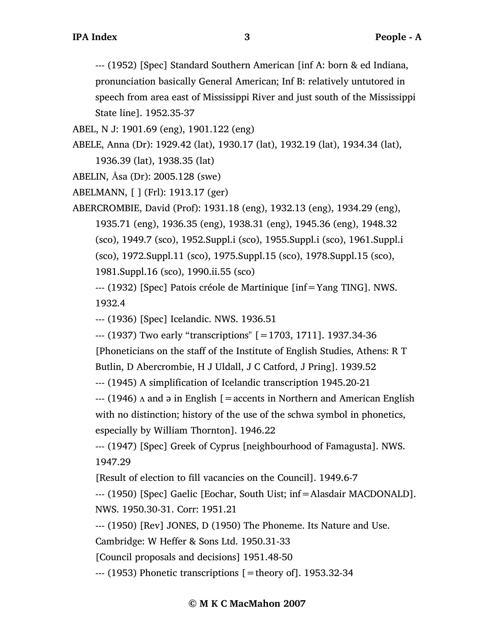--- (1952) [Spec] Standard Southern American [inf A: born & ed Indiana, pronunciation basically General American; Inf B: relatively untutored in speech from area east of Mississippi River and just south of the Mississippi State line]. 1952.35-37

ABEL, N J: 1901.69 (eng), 1901.122 (eng)

ABELE, Anna (Dr): 1929.42 (lat), 1930.17 (lat), 1932.19 (lat), 1934.34 (lat), 1936.39 (lat), 1938.35 (lat)

ABELIN, Åsa (Dr): 2005.128 (swe)

ABELMANN, [ ] (Frl): 1913.17 (ger)

ABERCROMBIE, David (Prof): 1931.18 (eng), 1932.13 (eng), 1934.29 (eng), 1935.71 (eng), 1936.35 (eng), 1938.31 (eng), 1945.36 (eng), 1948.32 (sco), 1949.7 (sco), 1952.Suppl.i (sco), 1955.Suppl.i (sco), 1961.Suppl.i (sco), 1972.Suppl.11 (sco), 1975.Suppl.15 (sco), 1978.Suppl.15 (sco), 1981.Suppl.16 (sco), 1990.ii.55 (sco)

--- (1932) [Spec] Patois créole de Martinique [inf=Yang TING]. NWS. 1932.4

--- (1936) [Spec] Icelandic. NWS. 1936.51

--- (1937) Two early "transcriptions" [=1703, 1711]. 1937.34-36

[Phoneticians on the staff of the Institute of English Studies, Athens: R T

Butlin, D Abercrombie, H J Uldall, J C Catford, J Pring]. 1939.52

--- (1945) A simplification of Icelandic transcription 1945.20-21

 $-$ -- (1946)  $\Lambda$  and  $\Theta$  in English [=accents in Northern and American English

with no distinction; history of the use of the schwa symbol in phonetics,

especially by William Thornton]. 1946.22

--- (1947) [Spec] Greek of Cyprus [neighbourhood of Famagusta]. NWS. 1947.29

[Result of election to fill vacancies on the Council]. 1949.6-7

--- (1950) [Spec] Gaelic [Eochar, South Uist; inf=Alasdair MACDONALD]. NWS. 1950.30-31. Corr: 1951.21

--- (1950) [Rev] JONES, D (1950) The Phoneme. Its Nature and Use.

Cambridge: W Heffer & Sons Ltd. 1950.31-33

[Council proposals and decisions] 1951.48-50

--- (1953) Phonetic transcriptions [=theory of]. 1953.32-34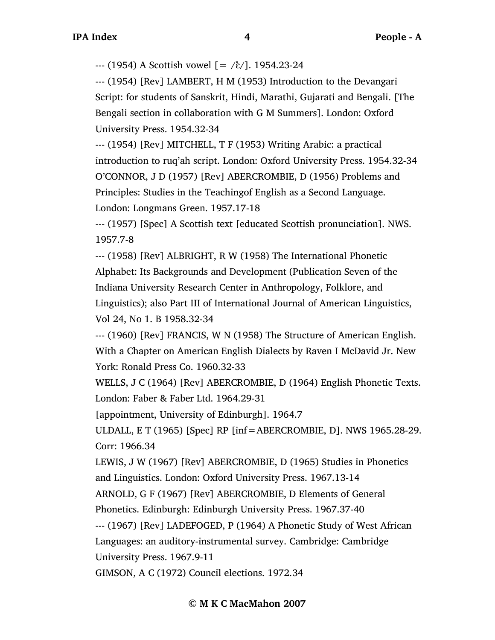$-$  (1954) A Scottish vowel  $[ = /\mathcal{E}$ ]. 1954.23-24

--- (1954) [Rev] LAMBERT, H M (1953) Introduction to the Devangari Script: for students of Sanskrit, Hindi, Marathi, Gujarati and Bengali. [The Bengali section in collaboration with G M Summers]. London: Oxford University Press. 1954.32-34

--- (1954) [Rev] MITCHELL, T F (1953) Writing Arabic: a practical introduction to ruq'ah script. London: Oxford University Press. 1954.32-34 O'CONNOR, J D (1957) [Rev] ABERCROMBIE, D (1956) Problems and Principles: Studies in the Teachingof English as a Second Language. London: Longmans Green. 1957.17-18

--- (1957) [Spec] A Scottish text [educated Scottish pronunciation]. NWS. 1957.7-8

--- (1958) [Rev] ALBRIGHT, R W (1958) The International Phonetic Alphabet: Its Backgrounds and Development (Publication Seven of the Indiana University Research Center in Anthropology, Folklore, and Linguistics); also Part III of International Journal of American Linguistics, Vol 24, No 1. B 1958.32-34

--- (1960) [Rev] FRANCIS, W N (1958) The Structure of American English. With a Chapter on American English Dialects by Raven I McDavid Jr. New York: Ronald Press Co. 1960.32-33

WELLS, J C (1964) [Rev] ABERCROMBIE, D (1964) English Phonetic Texts. London: Faber & Faber Ltd. 1964.29-31

[appointment, University of Edinburgh]. 1964.7

ULDALL, E T (1965) [Spec] RP [inf=ABERCROMBIE, D]. NWS 1965.28-29. Corr: 1966.34

LEWIS, J W (1967) [Rev] ABERCROMBIE, D (1965) Studies in Phonetics and Linguistics. London: Oxford University Press. 1967.13-14

ARNOLD, G F (1967) [Rev] ABERCROMBIE, D Elements of General

Phonetics. Edinburgh: Edinburgh University Press. 1967.37-40

--- (1967) [Rev] LADEFOGED, P (1964) A Phonetic Study of West African

Languages: an auditory-instrumental survey. Cambridge: Cambridge

University Press. 1967.9-11

GIMSON, A C (1972) Council elections. 1972.34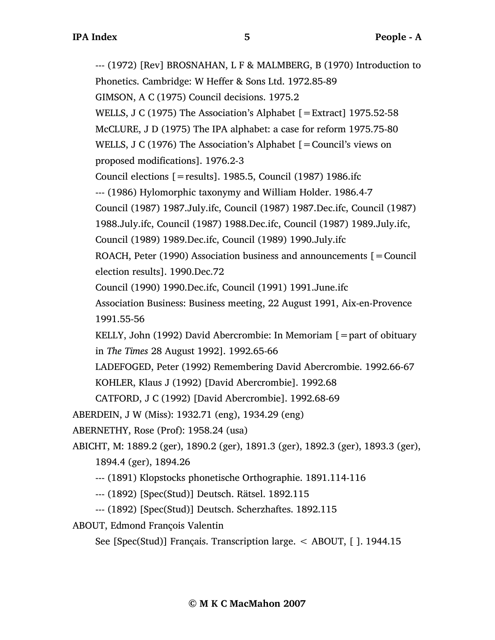--- (1972) [Rev] BROSNAHAN, L F & MALMBERG, B (1970) Introduction to Phonetics. Cambridge: W Heffer & Sons Ltd. 1972.85-89 GIMSON, A C (1975) Council decisions. 1975.2 WELLS, J C (1975) The Association's Alphabet [=Extract] 1975.52-58 McCLURE, J D (1975) The IPA alphabet: a case for reform 1975.75-80 WELLS, J C (1976) The Association's Alphabet [=Council's views on proposed modifications]. 1976.2-3 Council elections [=results]. 1985.5, Council (1987) 1986.ifc --- (1986) Hylomorphic taxonymy and William Holder. 1986.4-7 Council (1987) 1987.July.ifc, Council (1987) 1987.Dec.ifc, Council (1987) 1988.July.ifc, Council (1987) 1988.Dec.ifc, Council (1987) 1989.July.ifc, Council (1989) 1989.Dec.ifc, Council (1989) 1990.July.ifc ROACH, Peter (1990) Association business and announcements  $[=$  Council election results]. 1990.Dec.72 Council (1990) 1990.Dec.ifc, Council (1991) 1991.June.ifc Association Business: Business meeting, 22 August 1991, Aix-en-Provence 1991.55-56 KELLY, John (1992) David Abercrombie: In Memoriam  $[$  = part of obituary in *The Times* 28 August 1992]. 1992.65-66 LADEFOGED, Peter (1992) Remembering David Abercrombie. 1992.66-67 KOHLER, Klaus J (1992) [David Abercrombie]. 1992.68 CATFORD, J C (1992) [David Abercrombie]. 1992.68-69 ABERDEIN, J W (Miss): 1932.71 (eng), 1934.29 (eng) ABERNETHY, Rose (Prof): 1958.24 (usa) ABICHT, M: 1889.2 (ger), 1890.2 (ger), 1891.3 (ger), 1892.3 (ger), 1893.3 (ger), 1894.4 (ger), 1894.26 --- (1891) Klopstocks phonetische Orthographie. 1891.114-116 --- (1892) [Spec(Stud)] Deutsch. Rätsel. 1892.115 --- (1892) [Spec(Stud)] Deutsch. Scherzhaftes. 1892.115

ABOUT, Edmond François Valentin

See [Spec(Stud)] Français. Transcription large. < ABOUT, [ ]. 1944.15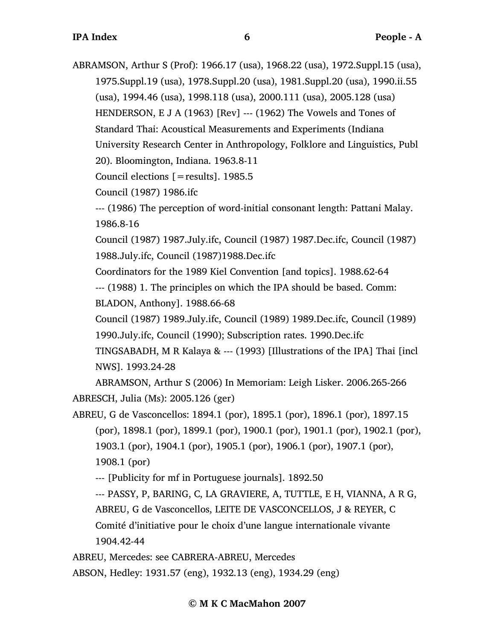ABRAMSON, Arthur S (Prof): 1966.17 (usa), 1968.22 (usa), 1972.Suppl.15 (usa), 1975.Suppl.19 (usa), 1978.Suppl.20 (usa), 1981.Suppl.20 (usa), 1990.ii.55 (usa), 1994.46 (usa), 1998.118 (usa), 2000.111 (usa), 2005.128 (usa) HENDERSON, E J A (1963) [Rev] --- (1962) The Vowels and Tones of Standard Thai: Acoustical Measurements and Experiments (Indiana University Research Center in Anthropology, Folklore and Linguistics, Publ 20). Bloomington, Indiana. 1963.8-11

Council elections [=results]. 1985.5

Council (1987) 1986.ifc

--- (1986) The perception of word-initial consonant length: Pattani Malay. 1986.8-16

Council (1987) 1987.July.ifc, Council (1987) 1987.Dec.ifc, Council (1987) 1988.July.ifc, Council (1987)1988.Dec.ifc

Coordinators for the 1989 Kiel Convention [and topics]. 1988.62-64 --- (1988) 1. The principles on which the IPA should be based. Comm:

BLADON, Anthony]. 1988.66-68

Council (1987) 1989.July.ifc, Council (1989) 1989.Dec.ifc, Council (1989) 1990.July.ifc, Council (1990); Subscription rates. 1990.Dec.ifc

TINGSABADH, M R Kalaya & --- (1993) [Illustrations of the IPA] Thai [incl NWS]. 1993.24-28

ABRAMSON, Arthur S (2006) In Memoriam: Leigh Lisker. 2006.265-266 ABRESCH, Julia (Ms): 2005.126 (ger)

ABREU, G de Vasconcellos: 1894.1 (por), 1895.1 (por), 1896.1 (por), 1897.15 (por), 1898.1 (por), 1899.1 (por), 1900.1 (por), 1901.1 (por), 1902.1 (por), 1903.1 (por), 1904.1 (por), 1905.1 (por), 1906.1 (por), 1907.1 (por), 1908.1 (por)

--- [Publicity for mf in Portuguese journals]. 1892.50

--- PASSY, P, BARING, C, LA GRAVIERE, A, TUTTLE, E H, VIANNA, A R G,

ABREU, G de Vasconcellos, LEITE DE VASCONCELLOS, J & REYER, C

Comité d'initiative pour le choix d'une langue internationale vivante 1904.42-44

ABREU, Mercedes: see CABRERA-ABREU, Mercedes

ABSON, Hedley: 1931.57 (eng), 1932.13 (eng), 1934.29 (eng)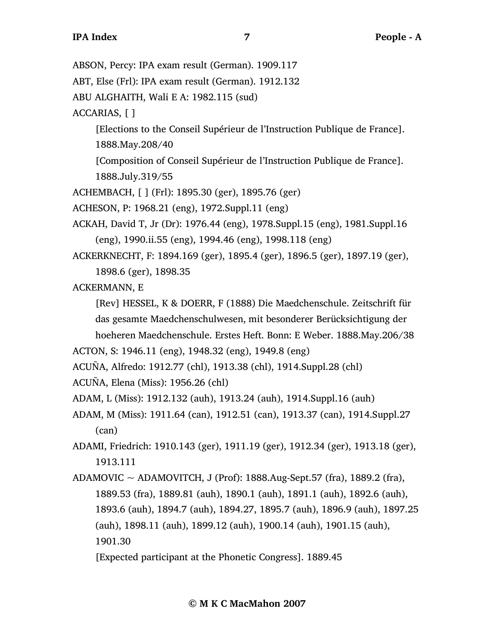ABSON, Percy: IPA exam result (German). 1909.117

ABT, Else (Frl): IPA exam result (German). 1912.132

ABU ALGHAITH, Wali E A: 1982.115 (sud)

ACCARIAS, [ ]

[Elections to the Conseil Supérieur de l'Instruction Publique de France]. 1888.May.208/40

[Composition of Conseil Supérieur de l'Instruction Publique de France]. 1888.July.319/55

ACHEMBACH, [ ] (Frl): 1895.30 (ger), 1895.76 (ger)

ACHESON, P: 1968.21 (eng), 1972.Suppl.11 (eng)

- ACKAH, David T, Jr (Dr): 1976.44 (eng), 1978.Suppl.15 (eng), 1981.Suppl.16 (eng), 1990.ii.55 (eng), 1994.46 (eng), 1998.118 (eng)
- ACKERKNECHT, F: 1894.169 (ger), 1895.4 (ger), 1896.5 (ger), 1897.19 (ger), 1898.6 (ger), 1898.35

ACKERMANN, E

[Rev] HESSEL, K & DOERR, F (1888) Die Maedchenschule. Zeitschrift für das gesamte Maedchenschulwesen, mit besonderer Berücksichtigung der hoeheren Maedchenschule. Erstes Heft. Bonn: E Weber. 1888.May.206/38

ACTON, S: 1946.11 (eng), 1948.32 (eng), 1949.8 (eng)

ACUÑA, Alfredo: 1912.77 (chl), 1913.38 (chl), 1914.Suppl.28 (chl)

ACUÑA, Elena (Miss): 1956.26 (chl)

ADAM, L (Miss): 1912.132 (auh), 1913.24 (auh), 1914.Suppl.16 (auh)

- ADAM, M (Miss): 1911.64 (can), 1912.51 (can), 1913.37 (can), 1914.Suppl.27 (can)
- ADAMI, Friedrich: 1910.143 (ger), 1911.19 (ger), 1912.34 (ger), 1913.18 (ger), 1913.111
- ADAMOVIC  $\sim$  ADAMOVITCH, J (Prof): 1888.Aug-Sept.57 (fra), 1889.2 (fra), 1889.53 (fra), 1889.81 (auh), 1890.1 (auh), 1891.1 (auh), 1892.6 (auh), 1893.6 (auh), 1894.7 (auh), 1894.27, 1895.7 (auh), 1896.9 (auh), 1897.25 (auh), 1898.11 (auh), 1899.12 (auh), 1900.14 (auh), 1901.15 (auh), 1901.30

<sup>[</sup>Expected participant at the Phonetic Congress]. 1889.45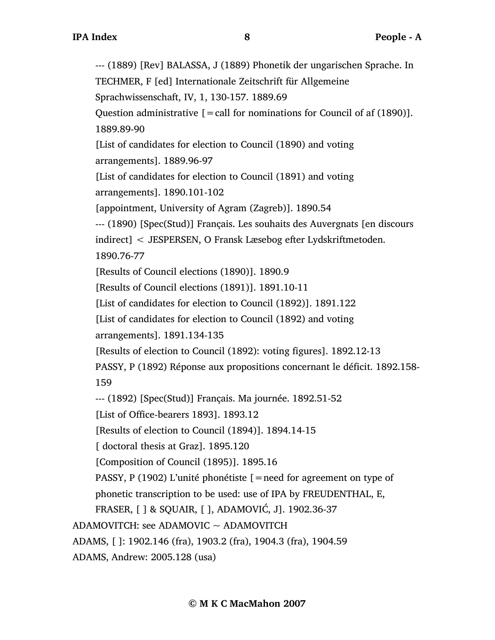--- (1889) [Rev] BALASSA, J (1889) Phonetik der ungarischen Sprache. In TECHMER, F [ed] Internationale Zeitschrift für Allgemeine Sprachwissenschaft, IV, 1, 130-157. 1889.69 Question administrative  $\lceil$  = call for nominations for Council of af (1890)]. 1889.89-90 [List of candidates for election to Council (1890) and voting arrangements]. 1889.96-97 [List of candidates for election to Council (1891) and voting arrangements]. 1890.101-102 [appointment, University of Agram (Zagreb)]. 1890.54 --- (1890) [Spec(Stud)] Français. Les souhaits des Auvergnats [en discours indirect] < JESPERSEN, O Fransk Læsebog efter Lydskriftmetoden. 1890.76-77 [Results of Council elections (1890)]. 1890.9 [Results of Council elections (1891)]. 1891.10-11 [List of candidates for election to Council (1892)]. 1891.122 [List of candidates for election to Council (1892) and voting arrangements]. 1891.134-135 [Results of election to Council (1892): voting figures]. 1892.12-13 PASSY, P (1892) Réponse aux propositions concernant le déficit. 1892.158- 159 --- (1892) [Spec(Stud)] Français. Ma journée. 1892.51-52 [List of Office-bearers 1893]. 1893.12 [Results of election to Council (1894)]. 1894.14-15 [ doctoral thesis at Graz]. 1895.120 [Composition of Council (1895)]. 1895.16 PASSY, P (1902) L'unité phonétiste [=need for agreement on type of phonetic transcription to be used: use of IPA by FREUDENTHAL, E, FRASER, [ ] & SQUAIR, [ ], ADAMOVIĆ, J]. 1902.36-37 ADAMOVITCH: see ADAMOVIC ~ ADAMOVITCH ADAMS, [ ]: 1902.146 (fra), 1903.2 (fra), 1904.3 (fra), 1904.59 ADAMS, Andrew: 2005.128 (usa)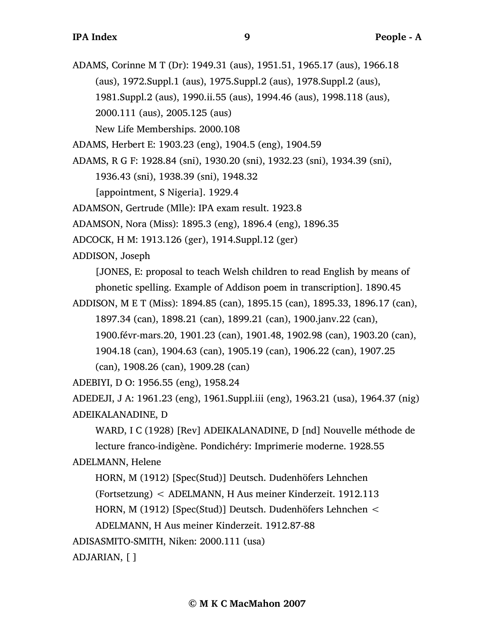ADAMS, Corinne M T (Dr): 1949.31 (aus), 1951.51, 1965.17 (aus), 1966.18 (aus), 1972.Suppl.1 (aus), 1975.Suppl.2 (aus), 1978.Suppl.2 (aus), 1981.Suppl.2 (aus), 1990.ii.55 (aus), 1994.46 (aus), 1998.118 (aus), 2000.111 (aus), 2005.125 (aus) New Life Memberships. 2000.108

ADAMS, Herbert E: 1903.23 (eng), 1904.5 (eng), 1904.59

ADAMS, R G F: 1928.84 (sni), 1930.20 (sni), 1932.23 (sni), 1934.39 (sni),

1936.43 (sni), 1938.39 (sni), 1948.32

[appointment, S Nigeria]. 1929.4

ADAMSON, Gertrude (Mlle): IPA exam result. 1923.8

ADAMSON, Nora (Miss): 1895.3 (eng), 1896.4 (eng), 1896.35

ADCOCK, H M: 1913.126 (ger), 1914.Suppl.12 (ger)

ADDISON, Joseph

[JONES, E: proposal to teach Welsh children to read English by means of phonetic spelling. Example of Addison poem in transcription]. 1890.45

ADDISON, M E T (Miss): 1894.85 (can), 1895.15 (can), 1895.33, 1896.17 (can), 1897.34 (can), 1898.21 (can), 1899.21 (can), 1900.janv.22 (can), 1900.févr-mars.20, 1901.23 (can), 1901.48, 1902.98 (can), 1903.20 (can), 1904.18 (can), 1904.63 (can), 1905.19 (can), 1906.22 (can), 1907.25 (can), 1908.26 (can), 1909.28 (can)

ADEBIYI, D O: 1956.55 (eng), 1958.24

ADEDEJI, J A: 1961.23 (eng), 1961.Suppl.iii (eng), 1963.21 (usa), 1964.37 (nig) ADEIKALANADINE, D

WARD, I C (1928) [Rev] ADEIKALANADINE, D [nd] Nouvelle méthode de lecture franco-indigène. Pondichéry: Imprimerie moderne. 1928.55

## ADELMANN, Helene

HORN, M (1912) [Spec(Stud)] Deutsch. Dudenhöfers Lehnchen

(Fortsetzung) < ADELMANN, H Aus meiner Kinderzeit. 1912.113

HORN, M (1912) [Spec(Stud)] Deutsch. Dudenhöfers Lehnchen <

ADELMANN, H Aus meiner Kinderzeit. 1912.87-88

ADISASMITO-SMITH, Niken: 2000.111 (usa)

ADJARIAN, [ ]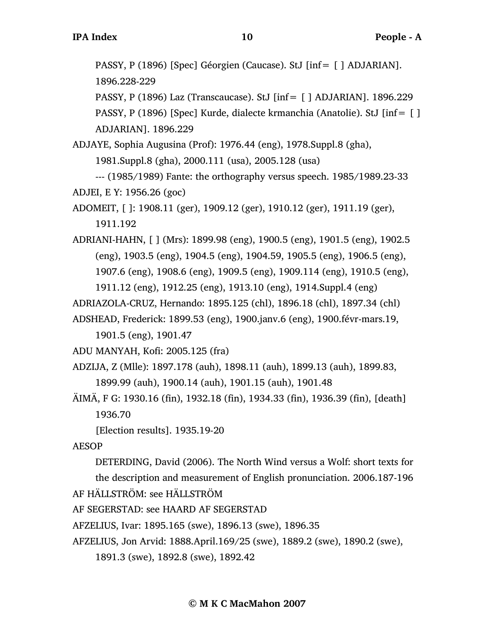PASSY, P (1896) [Spec] Géorgien (Caucase). StJ [inf= [ ] ADJARIAN]. 1896.228-229

PASSY, P (1896) Laz (Transcaucase). StJ [inf= [ ] ADJARIAN]. 1896.229 PASSY, P (1896) [Spec] Kurde, dialecte krmanchia (Anatolie). StJ [inf= [ ] ADJARIAN]. 1896.229

ADJAYE, Sophia Augusina (Prof): 1976.44 (eng), 1978.Suppl.8 (gha), 1981.Suppl.8 (gha), 2000.111 (usa), 2005.128 (usa)

--- (1985/1989) Fante: the orthography versus speech. 1985/1989.23-33 ADJEI, E Y: 1956.26 (goc)

ADOMEIT, [ ]: 1908.11 (ger), 1909.12 (ger), 1910.12 (ger), 1911.19 (ger), 1911.192

ADRIANI-HAHN, [ ] (Mrs): 1899.98 (eng), 1900.5 (eng), 1901.5 (eng), 1902.5 (eng), 1903.5 (eng), 1904.5 (eng), 1904.59, 1905.5 (eng), 1906.5 (eng), 1907.6 (eng), 1908.6 (eng), 1909.5 (eng), 1909.114 (eng), 1910.5 (eng), 1911.12 (eng), 1912.25 (eng), 1913.10 (eng), 1914.Suppl.4 (eng)

ADRIAZOLA-CRUZ, Hernando: 1895.125 (chl), 1896.18 (chl), 1897.34 (chl)

ADSHEAD, Frederick: 1899.53 (eng), 1900.janv.6 (eng), 1900.févr-mars.19,

1901.5 (eng), 1901.47

ADU MANYAH, Kofi: 2005.125 (fra)

ADZIJA, Z (Mlle): 1897.178 (auh), 1898.11 (auh), 1899.13 (auh), 1899.83, 1899.99 (auh), 1900.14 (auh), 1901.15 (auh), 1901.48

ÄIMÄ, F G: 1930.16 (fin), 1932.18 (fin), 1934.33 (fin), 1936.39 (fin), [death] 1936.70

[Election results]. 1935.19-20

AESOP

DETERDING, David (2006). The North Wind versus a Wolf: short texts for the description and measurement of English pronunciation. 2006.187-196

AF HÄLLSTRÖM: see HÄLLSTRÖM

AF SEGERSTAD: see HAARD AF SEGERSTAD

AFZELIUS, Ivar: 1895.165 (swe), 1896.13 (swe), 1896.35

AFZELIUS, Jon Arvid: 1888.April.169/25 (swe), 1889.2 (swe), 1890.2 (swe),

1891.3 (swe), 1892.8 (swe), 1892.42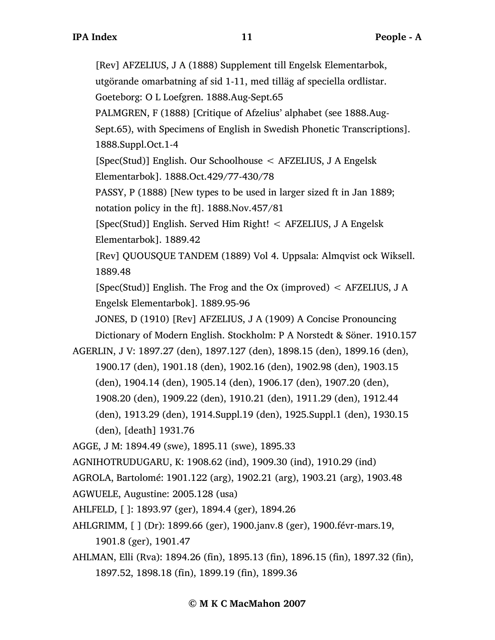[Rev] AFZELIUS, J A (1888) Supplement till Engelsk Elementarbok, utgörande omarbatning af sid 1-11, med tilläg af speciella ordlistar. Goeteborg: O L Loefgren. 1888.Aug-Sept.65 PALMGREN, F (1888) [Critique of Afzelius' alphabet (see 1888.Aug-Sept.65), with Specimens of English in Swedish Phonetic Transcriptions]. 1888.Suppl.Oct.1-4 [Spec(Stud)] English. Our Schoolhouse < AFZELIUS, J A Engelsk Elementarbok]. 1888.Oct.429/77-430/78 PASSY, P (1888) [New types to be used in larger sized ft in Jan 1889; notation policy in the ft]. 1888.Nov.457/81 [Spec(Stud)] English. Served Him Right! < AFZELIUS, J A Engelsk Elementarbok]. 1889.42 [Rev] QUOUSQUE TANDEM (1889) Vol 4. Uppsala: Almqvist ock Wiksell. 1889.48 [Spec(Stud)] English. The Frog and the Ox (improved) < AFZELIUS, J A Engelsk Elementarbok]. 1889.95-96 JONES, D (1910) [Rev] AFZELIUS, J A (1909) A Concise Pronouncing Dictionary of Modern English. Stockholm: P A Norstedt & Söner. 1910.157 AGERLIN, J V: 1897.27 (den), 1897.127 (den), 1898.15 (den), 1899.16 (den), 1900.17 (den), 1901.18 (den), 1902.16 (den), 1902.98 (den), 1903.15 (den), 1904.14 (den), 1905.14 (den), 1906.17 (den), 1907.20 (den), 1908.20 (den), 1909.22 (den), 1910.21 (den), 1911.29 (den), 1912.44 (den), 1913.29 (den), 1914.Suppl.19 (den), 1925.Suppl.1 (den), 1930.15 (den), [death] 1931.76 AGGE, J M: 1894.49 (swe), 1895.11 (swe), 1895.33 AGNIHOTRUDUGARU, K: 1908.62 (ind), 1909.30 (ind), 1910.29 (ind) AGROLA, Bartolomé: 1901.122 (arg), 1902.21 (arg), 1903.21 (arg), 1903.48 AGWUELE, Augustine: 2005.128 (usa) AHLFELD, [ ]: 1893.97 (ger), 1894.4 (ger), 1894.26 AHLGRIMM, [ ] (Dr): 1899.66 (ger), 1900.janv.8 (ger), 1900.févr-mars.19, 1901.8 (ger), 1901.47 AHLMAN, Elli (Rva): 1894.26 (fin), 1895.13 (fin), 1896.15 (fin), 1897.32 (fin), 1897.52, 1898.18 (fin), 1899.19 (fin), 1899.36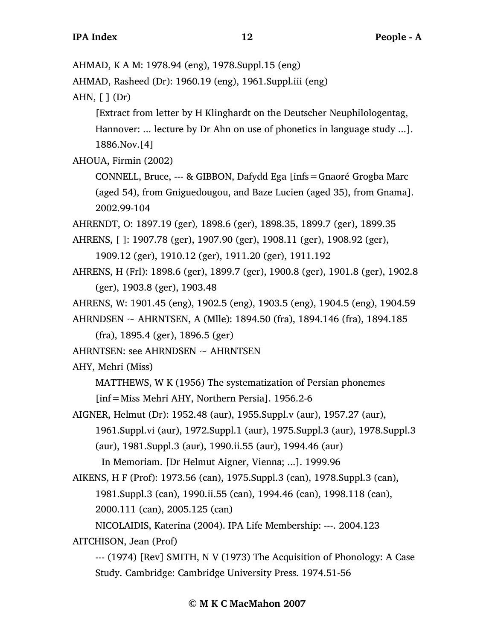AHMAD, K A M: 1978.94 (eng), 1978.Suppl.15 (eng)

```
AHMAD, Rasheed (Dr): 1960.19 (eng), 1961.Suppl.iii (eng)
```
AHN,  $\lceil \cdot \rceil$  (Dr)

[Extract from letter by H Klinghardt on the Deutscher Neuphilologentag, Hannover: ... lecture by Dr Ahn on use of phonetics in language study ...]. 1886.Nov.[4]

AHOUA, Firmin (2002)

CONNELL, Bruce, --- & GIBBON, Dafydd Ega [infs=Gnaoré Grogba Marc (aged 54), from Gniguedougou, and Baze Lucien (aged 35), from Gnama]. 2002.99-104

AHRENDT, O: 1897.19 (ger), 1898.6 (ger), 1898.35, 1899.7 (ger), 1899.35

AHRENS, [ ]: 1907.78 (ger), 1907.90 (ger), 1908.11 (ger), 1908.92 (ger),

1909.12 (ger), 1910.12 (ger), 1911.20 (ger), 1911.192

AHRENS, H (Frl): 1898.6 (ger), 1899.7 (ger), 1900.8 (ger), 1901.8 (ger), 1902.8 (ger), 1903.8 (ger), 1903.48

```
AHRENS, W: 1901.45 (eng), 1902.5 (eng), 1903.5 (eng), 1904.5 (eng), 1904.59
```
AHRNDSEN ~ AHRNTSEN, A (Mlle): 1894.50 (fra), 1894.146 (fra), 1894.185

(fra), 1895.4 (ger), 1896.5 (ger)

AHRNTSEN: see AHRNDSEN  $\sim$  AHRNTSEN

AHY, Mehri (Miss)

MATTHEWS, W K (1956) The systematization of Persian phonemes

[inf=Miss Mehri AHY, Northern Persia]. 1956.2-6

AIGNER, Helmut (Dr): 1952.48 (aur), 1955.Suppl.v (aur), 1957.27 (aur), 1961.Suppl.vi (aur), 1972.Suppl.1 (aur), 1975.Suppl.3 (aur), 1978.Suppl.3 (aur), 1981.Suppl.3 (aur), 1990.ii.55 (aur), 1994.46 (aur)

In Memoriam. [Dr Helmut Aigner, Vienna; ...]. 1999.96

AIKENS, H F (Prof): 1973.56 (can), 1975.Suppl.3 (can), 1978.Suppl.3 (can), 1981.Suppl.3 (can), 1990.ii.55 (can), 1994.46 (can), 1998.118 (can), 2000.111 (can), 2005.125 (can)

NICOLAIDIS, Katerina (2004). IPA Life Membership: ---. 2004.123

AITCHISON, Jean (Prof)

--- (1974) [Rev] SMITH, N V (1973) The Acquisition of Phonology: A Case Study. Cambridge: Cambridge University Press. 1974.51-56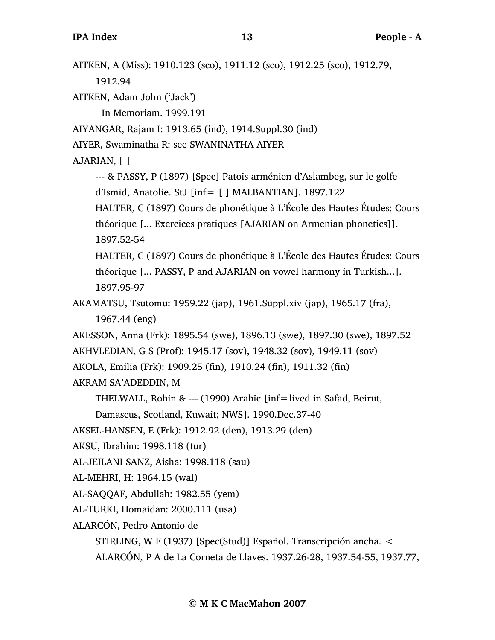AITKEN, A (Miss): 1910.123 (sco), 1911.12 (sco), 1912.25 (sco), 1912.79, 1912.94 AITKEN, Adam John ('Jack') In Memoriam. 1999.191 AIYANGAR, Rajam I: 1913.65 (ind), 1914.Suppl.30 (ind) AIYER, Swaminatha R: see SWANINATHA AIYER AJARIAN, [ ] --- & PASSY, P (1897) [Spec] Patois arménien d'Aslambeg, sur le golfe d'Ismid, Anatolie. StJ [inf= [ ] MALBANTIAN]. 1897.122 HALTER, C (1897) Cours de phonétique à L'École des Hautes Études: Cours théorique [... Exercices pratiques [AJARIAN on Armenian phonetics]]. 1897.52-54 HALTER, C (1897) Cours de phonétique à L'École des Hautes Études: Cours théorique [... PASSY, P and AJARIAN on vowel harmony in Turkish...]. 1897.95-97 AKAMATSU, Tsutomu: 1959.22 (jap), 1961.Suppl.xiv (jap), 1965.17 (fra), 1967.44 (eng) AKESSON, Anna (Frk): 1895.54 (swe), 1896.13 (swe), 1897.30 (swe), 1897.52 AKHVLEDIAN, G S (Prof): 1945.17 (sov), 1948.32 (sov), 1949.11 (sov) AKOLA, Emilia (Frk): 1909.25 (fin), 1910.24 (fin), 1911.32 (fin) AKRAM SA'ADEDDIN, M THELWALL, Robin & --- (1990) Arabic [inf=lived in Safad, Beirut, Damascus, Scotland, Kuwait; NWS]. 1990.Dec.37-40 AKSEL-HANSEN, E (Frk): 1912.92 (den), 1913.29 (den) AKSU, Ibrahim: 1998.118 (tur) AL-JEILANI SANZ, Aisha: 1998.118 (sau) AL-MEHRI, H: 1964.15 (wal) AL-SAQQAF, Abdullah: 1982.55 (yem) AL-TURKI, Homaidan: 2000.111 (usa) ALARCÓN, Pedro Antonio de STIRLING, W F (1937) [Spec(Stud)] Español. Transcripción ancha. <

ALARCÓN, P A de La Corneta de Llaves. 1937.26-28, 1937.54-55, 1937.77,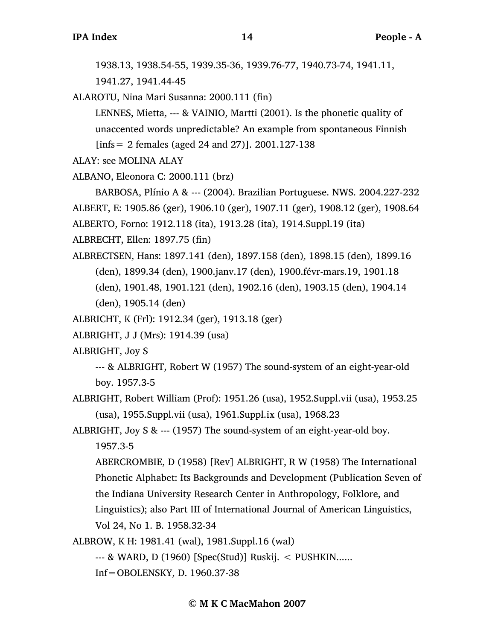1938.13, 1938.54-55, 1939.35-36, 1939.76-77, 1940.73-74, 1941.11, 1941.27, 1941.44-45

ALAROTU, Nina Mari Susanna: 2000.111 (fin)

LENNES, Mietta, --- & VAINIO, Martti (2001). Is the phonetic quality of unaccented words unpredictable? An example from spontaneous Finnish [infs= 2 females (aged 24 and 27)]. 2001.127-138

ALAY: see MOLINA ALAY

ALBANO, Eleonora C: 2000.111 (brz)

BARBOSA, Plínio A & --- (2004). Brazilian Portuguese. NWS. 2004.227-232 ALBERT, E: 1905.86 (ger), 1906.10 (ger), 1907.11 (ger), 1908.12 (ger), 1908.64 ALBERTO, Forno: 1912.118 (ita), 1913.28 (ita), 1914.Suppl.19 (ita)

ALBRECHT, Ellen: 1897.75 (fin)

ALBRECTSEN, Hans: 1897.141 (den), 1897.158 (den), 1898.15 (den), 1899.16 (den), 1899.34 (den), 1900.janv.17 (den), 1900.févr-mars.19, 1901.18 (den), 1901.48, 1901.121 (den), 1902.16 (den), 1903.15 (den), 1904.14

(den), 1905.14 (den)

ALBRICHT, K (Frl): 1912.34 (ger), 1913.18 (ger)

ALBRIGHT, J J (Mrs): 1914.39 (usa)

ALBRIGHT, Joy S

--- & ALBRIGHT, Robert W (1957) The sound-system of an eight-year-old boy. 1957.3-5

ALBRIGHT, Robert William (Prof): 1951.26 (usa), 1952.Suppl.vii (usa), 1953.25 (usa), 1955.Suppl.vii (usa), 1961.Suppl.ix (usa), 1968.23

ALBRIGHT, Joy S & --- (1957) The sound-system of an eight-year-old boy. 1957.3-5

ABERCROMBIE, D (1958) [Rev] ALBRIGHT, R W (1958) The International Phonetic Alphabet: Its Backgrounds and Development (Publication Seven of the Indiana University Research Center in Anthropology, Folklore, and Linguistics); also Part III of International Journal of American Linguistics, Vol 24, No 1. B. 1958.32-34

ALBROW, K H: 1981.41 (wal), 1981.Suppl.16 (wal)

--- & WARD, D (1960) [Spec(Stud)] Ruskij. < PUSHKIN......

Inf=OBOLENSKY, D. 1960.37-38

**© M K C MacMahon 2007**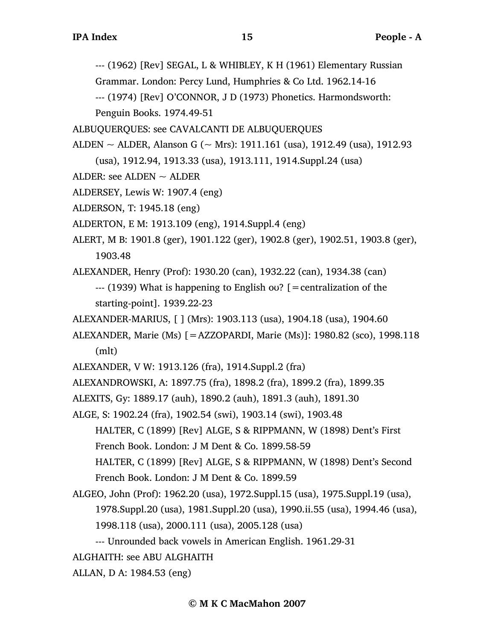--- (1962) [Rev] SEGAL, L & WHIBLEY, K H (1961) Elementary Russian

Grammar. London: Percy Lund, Humphries & Co Ltd. 1962.14-16

--- (1974) [Rev] O'CONNOR, J D (1973) Phonetics. Harmondsworth: Penguin Books. 1974.49-51

ALBUQUERQUES: see CAVALCANTI DE ALBUQUERQUES

ALDEN  $\sim$  ALDER, Alanson G ( $\sim$  Mrs): 1911.161 (usa), 1912.49 (usa), 1912.93 (usa), 1912.94, 1913.33 (usa), 1913.111, 1914.Suppl.24 (usa)

- ALDER: see ALDEN  $\sim$  ALDER
- ALDERSEY, Lewis W: 1907.4 (eng)
- ALDERSON, T: 1945.18 (eng)
- ALDERTON, E M: 1913.109 (eng), 1914.Suppl.4 (eng)
- ALERT, M B: 1901.8 (ger), 1901.122 (ger), 1902.8 (ger), 1902.51, 1903.8 (ger), 1903.48

ALEXANDER, Henry (Prof): 1930.20 (can), 1932.22 (can), 1934.38 (can) --- (1939) What is happening to English oʊ? [=centralization of the starting-point]. 1939.22-23

- ALEXANDER-MARIUS, [ ] (Mrs): 1903.113 (usa), 1904.18 (usa), 1904.60
- ALEXANDER, Marie (Ms) [=AZZOPARDI, Marie (Ms)]: 1980.82 (sco), 1998.118 (mlt)
- ALEXANDER, V W: 1913.126 (fra), 1914.Suppl.2 (fra)
- ALEXANDROWSKI, A: 1897.75 (fra), 1898.2 (fra), 1899.2 (fra), 1899.35
- ALEXITS, Gy: 1889.17 (auh), 1890.2 (auh), 1891.3 (auh), 1891.30
- ALGE, S: 1902.24 (fra), 1902.54 (swi), 1903.14 (swi), 1903.48
	- HALTER, C (1899) [Rev] ALGE, S & RIPPMANN, W (1898) Dent's First French Book. London: J M Dent & Co. 1899.58-59

HALTER, C (1899) [Rev] ALGE, S & RIPPMANN, W (1898) Dent's Second French Book. London: J M Dent & Co. 1899.59

- ALGEO, John (Prof): 1962.20 (usa), 1972.Suppl.15 (usa), 1975.Suppl.19 (usa), 1978.Suppl.20 (usa), 1981.Suppl.20 (usa), 1990.ii.55 (usa), 1994.46 (usa), 1998.118 (usa), 2000.111 (usa), 2005.128 (usa)
	- --- Unrounded back vowels in American English. 1961.29-31

ALGHAITH: see ABU ALGHAITH

ALLAN, D A: 1984.53 (eng)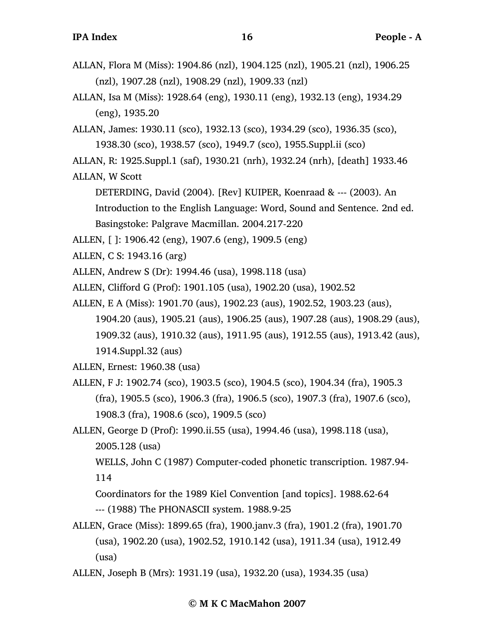- ALLAN, Isa M (Miss): 1928.64 (eng), 1930.11 (eng), 1932.13 (eng), 1934.29 (eng), 1935.20
- ALLAN, James: 1930.11 (sco), 1932.13 (sco), 1934.29 (sco), 1936.35 (sco), 1938.30 (sco), 1938.57 (sco), 1949.7 (sco), 1955.Suppl.ii (sco)
- ALLAN, R: 1925.Suppl.1 (saf), 1930.21 (nrh), 1932.24 (nrh), [death] 1933.46
- ALLAN, W Scott

DETERDING, David (2004). [Rev] KUIPER, Koenraad & --- (2003). An Introduction to the English Language: Word, Sound and Sentence. 2nd ed. Basingstoke: Palgrave Macmillan. 2004.217-220

- ALLEN, [ ]: 1906.42 (eng), 1907.6 (eng), 1909.5 (eng)
- ALLEN, C S: 1943.16 (arg)
- ALLEN, Andrew S (Dr): 1994.46 (usa), 1998.118 (usa)

ALLEN, Clifford G (Prof): 1901.105 (usa), 1902.20 (usa), 1902.52

ALLEN, E A (Miss): 1901.70 (aus), 1902.23 (aus), 1902.52, 1903.23 (aus), 1904.20 (aus), 1905.21 (aus), 1906.25 (aus), 1907.28 (aus), 1908.29 (aus), 1909.32 (aus), 1910.32 (aus), 1911.95 (aus), 1912.55 (aus), 1913.42 (aus), 1914.Suppl.32 (aus)

ALLEN, Ernest: 1960.38 (usa)

- ALLEN, F J: 1902.74 (sco), 1903.5 (sco), 1904.5 (sco), 1904.34 (fra), 1905.3 (fra), 1905.5 (sco), 1906.3 (fra), 1906.5 (sco), 1907.3 (fra), 1907.6 (sco), 1908.3 (fra), 1908.6 (sco), 1909.5 (sco)
- ALLEN, George D (Prof): 1990.ii.55 (usa), 1994.46 (usa), 1998.118 (usa), 2005.128 (usa)

WELLS, John C (1987) Computer-coded phonetic transcription. 1987.94- 114

Coordinators for the 1989 Kiel Convention [and topics]. 1988.62-64 --- (1988) The PHONASCII system. 1988.9-25

- ALLEN, Grace (Miss): 1899.65 (fra), 1900.janv.3 (fra), 1901.2 (fra), 1901.70 (usa), 1902.20 (usa), 1902.52, 1910.142 (usa), 1911.34 (usa), 1912.49 (usa)
- ALLEN, Joseph B (Mrs): 1931.19 (usa), 1932.20 (usa), 1934.35 (usa)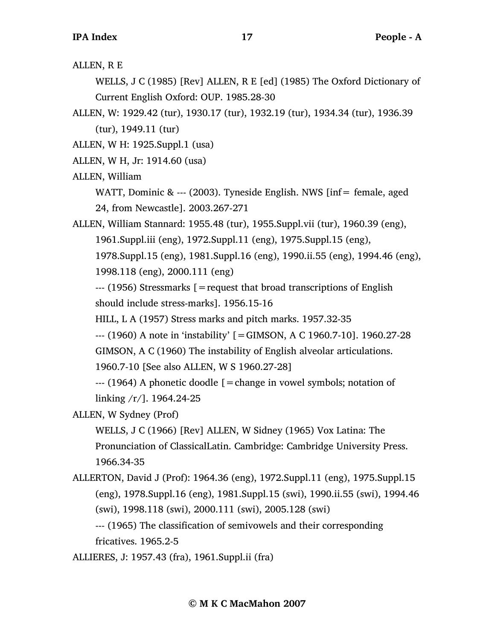ALLEN, R E

WELLS, J C (1985) [Rev] ALLEN, R E [ed] (1985) The Oxford Dictionary of Current English Oxford: OUP. 1985.28-30

ALLEN, W: 1929.42 (tur), 1930.17 (tur), 1932.19 (tur), 1934.34 (tur), 1936.39 (tur), 1949.11 (tur)

ALLEN, W H: 1925.Suppl.1 (usa)

ALLEN, W H, Jr: 1914.60 (usa)

ALLEN, William

WATT, Dominic &  $--$  (2003). Tyneside English. NWS [inf= female, aged 24, from Newcastle]. 2003.267-271

ALLEN, William Stannard: 1955.48 (tur), 1955.Suppl.vii (tur), 1960.39 (eng),

1961.Suppl.iii (eng), 1972.Suppl.11 (eng), 1975.Suppl.15 (eng),

1978.Suppl.15 (eng), 1981.Suppl.16 (eng), 1990.ii.55 (eng), 1994.46 (eng), 1998.118 (eng), 2000.111 (eng)

--- (1956) Stressmarks [=request that broad transcriptions of English should include stress-marks]. 1956.15-16

HILL, L A (1957) Stress marks and pitch marks. 1957.32-35

--- (1960) A note in 'instability' [=GIMSON, A C 1960.7-10]. 1960.27-28

GIMSON, A C (1960) The instability of English alveolar articulations.

1960.7-10 [See also ALLEN, W S 1960.27-28]

 $-$ --- (1964) A phonetic doodle  $\mathfrak{g}$  = change in vowel symbols; notation of linking /r/]. 1964.24-25

## ALLEN, W Sydney (Prof)

WELLS, J C (1966) [Rev] ALLEN, W Sidney (1965) Vox Latina: The Pronunciation of ClassicalLatin. Cambridge: Cambridge University Press. 1966.34-35

ALLERTON, David J (Prof): 1964.36 (eng), 1972.Suppl.11 (eng), 1975.Suppl.15 (eng), 1978.Suppl.16 (eng), 1981.Suppl.15 (swi), 1990.ii.55 (swi), 1994.46 (swi), 1998.118 (swi), 2000.111 (swi), 2005.128 (swi)

--- (1965) The classification of semivowels and their corresponding fricatives. 1965.2-5

ALLIERES, J: 1957.43 (fra), 1961.Suppl.ii (fra)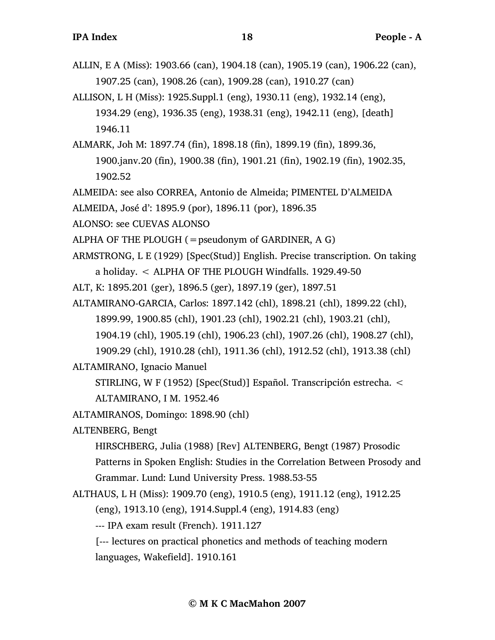- ALLIN, E A (Miss): 1903.66 (can), 1904.18 (can), 1905.19 (can), 1906.22 (can), 1907.25 (can), 1908.26 (can), 1909.28 (can), 1910.27 (can)
- ALLISON, L H (Miss): 1925.Suppl.1 (eng), 1930.11 (eng), 1932.14 (eng), 1934.29 (eng), 1936.35 (eng), 1938.31 (eng), 1942.11 (eng), [death] 1946.11
- ALMARK, Joh M: 1897.74 (fin), 1898.18 (fin), 1899.19 (fin), 1899.36, 1900.janv.20 (fin), 1900.38 (fin), 1901.21 (fin), 1902.19 (fin), 1902.35, 1902.52

ALMEIDA: see also CORREA, Antonio de Almeida; PIMENTEL D'ALMEIDA

- ALMEIDA, José d': 1895.9 (por), 1896.11 (por), 1896.35
- ALONSO: see CUEVAS ALONSO
- ALPHA OF THE PLOUGH  $(=$  pseudonym of GARDINER, A G)

ARMSTRONG, L E (1929) [Spec(Stud)] English. Precise transcription. On taking a holiday. < ALPHA OF THE PLOUGH Windfalls. 1929.49-50

- ALT, K: 1895.201 (ger), 1896.5 (ger), 1897.19 (ger), 1897.51
- ALTAMIRANO-GARCIA, Carlos: 1897.142 (chl), 1898.21 (chl), 1899.22 (chl), 1899.99, 1900.85 (chl), 1901.23 (chl), 1902.21 (chl), 1903.21 (chl),
	- 1904.19 (chl), 1905.19 (chl), 1906.23 (chl), 1907.26 (chl), 1908.27 (chl),
	- 1909.29 (chl), 1910.28 (chl), 1911.36 (chl), 1912.52 (chl), 1913.38 (chl)

ALTAMIRANO, Ignacio Manuel

STIRLING, W F (1952) [Spec(Stud)] Español. Transcripción estrecha. < ALTAMIRANO, I M. 1952.46

- ALTAMIRANOS, Domingo: 1898.90 (chl)
- ALTENBERG, Bengt

HIRSCHBERG, Julia (1988) [Rev] ALTENBERG, Bengt (1987) Prosodic

Patterns in Spoken English: Studies in the Correlation Between Prosody and Grammar. Lund: Lund University Press. 1988.53-55

ALTHAUS, L H (Miss): 1909.70 (eng), 1910.5 (eng), 1911.12 (eng), 1912.25

(eng), 1913.10 (eng), 1914.Suppl.4 (eng), 1914.83 (eng)

--- IPA exam result (French). 1911.127

[--- lectures on practical phonetics and methods of teaching modern languages, Wakefield]. 1910.161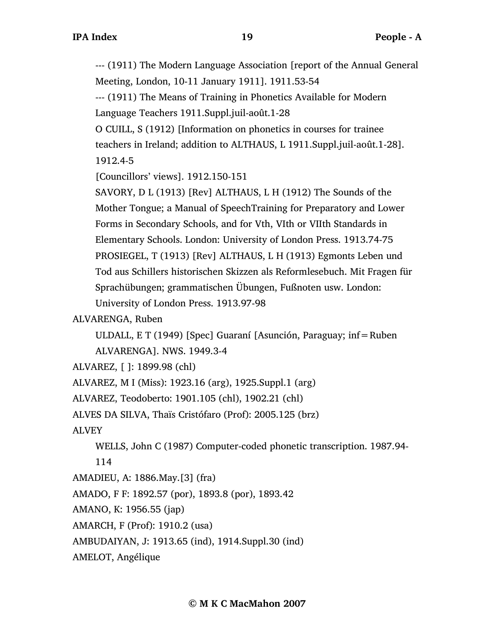--- (1911) The Modern Language Association [report of the Annual General Meeting, London, 10-11 January 1911]. 1911.53-54

--- (1911) The Means of Training in Phonetics Available for Modern Language Teachers 1911.Suppl.juil-août.1-28

O CUILL, S (1912) [Information on phonetics in courses for trainee teachers in Ireland; addition to ALTHAUS, L 1911.Suppl.juil-août.1-28]. 1912.4-5

[Councillors' views]. 1912.150-151

SAVORY, D L (1913) [Rev] ALTHAUS, L H (1912) The Sounds of the Mother Tongue; a Manual of SpeechTraining for Preparatory and Lower Forms in Secondary Schools, and for Vth, VIth or VIIth Standards in Elementary Schools. London: University of London Press. 1913.74-75 PROSIEGEL, T (1913) [Rev] ALTHAUS, L H (1913) Egmonts Leben und Tod aus Schillers historischen Skizzen als Reformlesebuch. Mit Fragen für Sprachübungen; grammatischen Übungen, Fußnoten usw. London: University of London Press. 1913.97-98

ALVARENGA, Ruben

ULDALL, E T (1949) [Spec] Guaraní [Asunción, Paraguay; inf=Ruben

ALVARENGA]. NWS. 1949.3-4

ALVAREZ, [ ]: 1899.98 (chl)

ALVAREZ, M I (Miss): 1923.16 (arg), 1925.Suppl.1 (arg)

ALVAREZ, Teodoberto: 1901.105 (chl), 1902.21 (chl)

ALVES DA SILVA, Thaïs Cristófaro (Prof): 2005.125 (brz)

ALVEY

WELLS, John C (1987) Computer-coded phonetic transcription. 1987.94-

114

AMADIEU, A: 1886.May.[3] (fra)

AMADO, F F: 1892.57 (por), 1893.8 (por), 1893.42

AMANO, K: 1956.55 (jap)

AMARCH, F (Prof): 1910.2 (usa)

AMBUDAIYAN, J: 1913.65 (ind), 1914.Suppl.30 (ind)

AMELOT, Angélique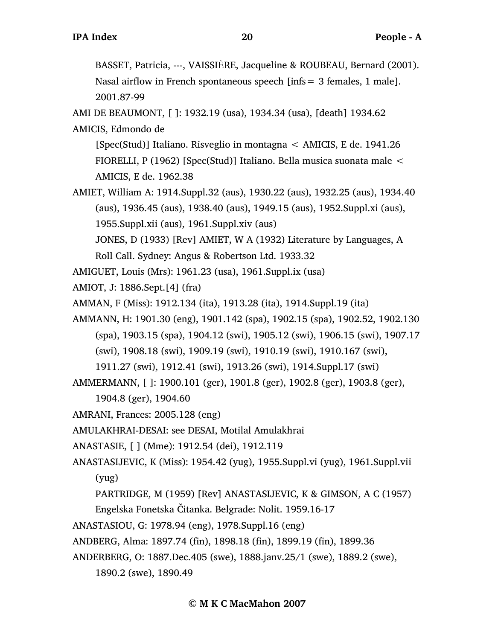BASSET, Patricia, ---, VAISSIÈRE, Jacqueline & ROUBEAU, Bernard (2001). Nasal airflow in French spontaneous speech [infs= 3 females, 1 male]. 2001.87-99

AMI DE BEAUMONT, [ ]: 1932.19 (usa), 1934.34 (usa), [death] 1934.62

AMICIS, Edmondo de

[Spec(Stud)] Italiano. Risveglio in montagna < AMICIS, E de. 1941.26 FIORELLI, P (1962) [Spec(Stud)] Italiano. Bella musica suonata male < AMICIS, E de. 1962.38

AMIET, William A: 1914.Suppl.32 (aus), 1930.22 (aus), 1932.25 (aus), 1934.40 (aus), 1936.45 (aus), 1938.40 (aus), 1949.15 (aus), 1952.Suppl.xi (aus), 1955.Suppl.xii (aus), 1961.Suppl.xiv (aus)

JONES, D (1933) [Rev] AMIET, W A (1932) Literature by Languages, A

Roll Call. Sydney: Angus & Robertson Ltd. 1933.32

AMIGUET, Louis (Mrs): 1961.23 (usa), 1961.Suppl.ix (usa)

AMIOT, J: 1886.Sept.[4] (fra)

AMMAN, F (Miss): 1912.134 (ita), 1913.28 (ita), 1914.Suppl.19 (ita)

- AMMANN, H: 1901.30 (eng), 1901.142 (spa), 1902.15 (spa), 1902.52, 1902.130 (spa), 1903.15 (spa), 1904.12 (swi), 1905.12 (swi), 1906.15 (swi), 1907.17 (swi), 1908.18 (swi), 1909.19 (swi), 1910.19 (swi), 1910.167 (swi),
	- 1911.27 (swi), 1912.41 (swi), 1913.26 (swi), 1914.Suppl.17 (swi)

AMMERMANN, [ ]: 1900.101 (ger), 1901.8 (ger), 1902.8 (ger), 1903.8 (ger),

1904.8 (ger), 1904.60

AMRANI, Frances: 2005.128 (eng)

AMULAKHRAI-DESAI: see DESAI, Motilal Amulakhrai

- ANASTASIE, [ ] (Mme): 1912.54 (dei), 1912.119
- ANASTASIJEVIC, K (Miss): 1954.42 (yug), 1955.Suppl.vi (yug), 1961.Suppl.vii (yug)
	- PARTRIDGE, M (1959) [Rev] ANASTASIJEVIC, K & GIMSON, A C (1957)

Engelska Fonetska Čitanka. Belgrade: Nolit. 1959.16-17

ANASTASIOU, G: 1978.94 (eng), 1978.Suppl.16 (eng)

ANDBERG, Alma: 1897.74 (fin), 1898.18 (fin), 1899.19 (fin), 1899.36

ANDERBERG, O: 1887.Dec.405 (swe), 1888.janv.25/1 (swe), 1889.2 (swe), 1890.2 (swe), 1890.49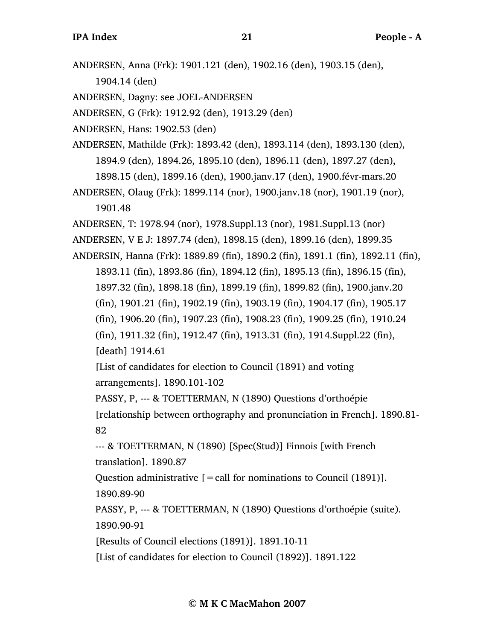ANDERSEN, Anna (Frk): 1901.121 (den), 1902.16 (den), 1903.15 (den),

1904.14 (den)

ANDERSEN, Dagny: see JOEL-ANDERSEN

ANDERSEN, G (Frk): 1912.92 (den), 1913.29 (den)

ANDERSEN, Hans: 1902.53 (den)

ANDERSEN, Mathilde (Frk): 1893.42 (den), 1893.114 (den), 1893.130 (den), 1894.9 (den), 1894.26, 1895.10 (den), 1896.11 (den), 1897.27 (den), 1898.15 (den), 1899.16 (den), 1900.janv.17 (den), 1900.févr-mars.20

ANDERSEN, Olaug (Frk): 1899.114 (nor), 1900.janv.18 (nor), 1901.19 (nor), 1901.48

ANDERSEN, T: 1978.94 (nor), 1978.Suppl.13 (nor), 1981.Suppl.13 (nor)

ANDERSEN, V E J: 1897.74 (den), 1898.15 (den), 1899.16 (den), 1899.35

ANDERSIN, Hanna (Frk): 1889.89 (fin), 1890.2 (fin), 1891.1 (fin), 1892.11 (fin), 1893.11 (fin), 1893.86 (fin), 1894.12 (fin), 1895.13 (fin), 1896.15 (fin), 1897.32 (fin), 1898.18 (fin), 1899.19 (fin), 1899.82 (fin), 1900.janv.20 (fin), 1901.21 (fin), 1902.19 (fin), 1903.19 (fin), 1904.17 (fin), 1905.17 (fin), 1906.20 (fin), 1907.23 (fin), 1908.23 (fin), 1909.25 (fin), 1910.24 (fin), 1911.32 (fin), 1912.47 (fin), 1913.31 (fin), 1914.Suppl.22 (fin), [death] 1914.61

[List of candidates for election to Council (1891) and voting arrangements]. 1890.101-102

PASSY, P, --- & TOETTERMAN, N (1890) Questions d'orthoépie [relationship between orthography and pronunciation in French]. 1890.81- 82

--- & TOETTERMAN, N (1890) [Spec(Stud)] Finnois [with French translation]. 1890.87

Question administrative  $[=$  call for nominations to Council (1891)]. 1890.89-90

PASSY, P, --- & TOETTERMAN, N (1890) Questions d'orthoépie (suite). 1890.90-91

[Results of Council elections (1891)]. 1891.10-11

[List of candidates for election to Council (1892)]. 1891.122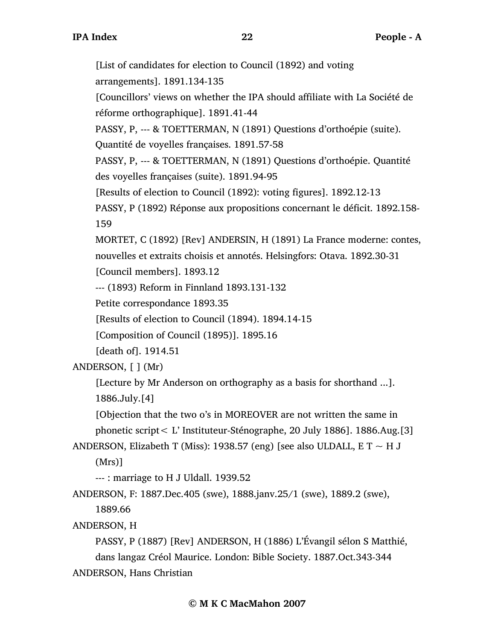[List of candidates for election to Council (1892) and voting arrangements]. 1891.134-135 [Councillors' views on whether the IPA should affiliate with La Société de réforme orthographique]. 1891.41-44 PASSY, P, --- & TOETTERMAN, N (1891) Questions d'orthoépie (suite). Quantité de voyelles françaises. 1891.57-58 PASSY, P, --- & TOETTERMAN, N (1891) Questions d'orthoépie. Quantité des voyelles françaises (suite). 1891.94-95 [Results of election to Council (1892): voting figures]. 1892.12-13 PASSY, P (1892) Réponse aux propositions concernant le déficit. 1892.158- 159 MORTET, C (1892) [Rev] ANDERSIN, H (1891) La France moderne: contes, nouvelles et extraits choisis et annotés. Helsingfors: Otava. 1892.30-31 [Council members]. 1893.12 --- (1893) Reform in Finnland 1893.131-132 Petite correspondance 1893.35 [Results of election to Council (1894). 1894.14-15 [Composition of Council (1895)]. 1895.16 [death of]. 1914.51 ANDERSON, [ ] (Mr) [Lecture by Mr Anderson on orthography as a basis for shorthand ...]. 1886.July.[4] [Objection that the two o's in MOREOVER are not written the same in phonetic script< L' Instituteur-Sténographe, 20 July 1886]. 1886.Aug.[3] ANDERSON, Elizabeth T (Miss): 1938.57 (eng) [see also ULDALL, E T  $\sim$  H J (Mrs)] --- : marriage to H J Uldall. 1939.52 ANDERSON, F: 1887.Dec.405 (swe), 1888.janv.25/1 (swe), 1889.2 (swe), 1889.66 ANDERSON, H PASSY, P (1887) [Rev] ANDERSON, H (1886) L'Évangil sélon S Matthié, dans langaz Créol Maurice. London: Bible Society. 1887.Oct.343-344

ANDERSON, Hans Christian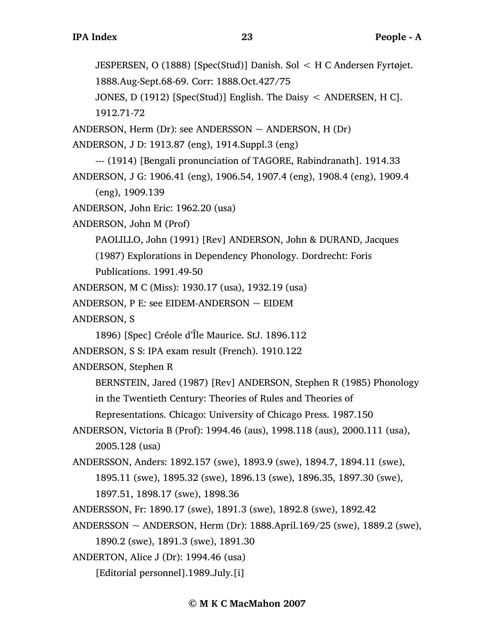JESPERSEN, O (1888) [Spec(Stud)] Danish. Sol < H C Andersen Fyrtøjet. 1888.Aug-Sept.68-69. Corr: 1888.Oct.427/75 JONES, D (1912) [Spec(Stud)] English. The Daisy < ANDERSEN, H C]. 1912.71-72 ANDERSON, Herm (Dr): see ANDERSSON  $\sim$  ANDERSON, H (Dr) ANDERSON, J D: 1913.87 (eng), 1914.Suppl.3 (eng) --- (1914) [Bengali pronunciation of TAGORE, Rabindranath]. 1914.33 ANDERSON, J G: 1906.41 (eng), 1906.54, 1907.4 (eng), 1908.4 (eng), 1909.4 (eng), 1909.139 ANDERSON, John Eric: 1962.20 (usa) ANDERSON, John M (Prof) PAOLILLO, John (1991) [Rev] ANDERSON, John & DURAND, Jacques (1987) Explorations in Dependency Phonology. Dordrecht: Foris Publications. 1991.49-50 ANDERSON, M C (Miss): 1930.17 (usa), 1932.19 (usa) ANDERSON, P E: see EIDEM-ANDERSON  $\sim$  EIDEM ANDERSON, S 1896) [Spec] Créole d'Île Maurice. StJ. 1896.112 ANDERSON, S S: IPA exam result (French). 1910.122 ANDERSON, Stephen R BERNSTEIN, Jared (1987) [Rev] ANDERSON, Stephen R (1985) Phonology in the Twentieth Century: Theories of Rules and Theories of Representations. Chicago: University of Chicago Press. 1987.150 ANDERSON, Victoria B (Prof): 1994.46 (aus), 1998.118 (aus), 2000.111 (usa), 2005.128 (usa) ANDERSSON, Anders: 1892.157 (swe), 1893.9 (swe), 1894.7, 1894.11 (swe), 1895.11 (swe), 1895.32 (swe), 1896.13 (swe), 1896.35, 1897.30 (swe), 1897.51, 1898.17 (swe), 1898.36 ANDERSSON, Fr: 1890.17 (swe), 1891.3 (swe), 1892.8 (swe), 1892.42 ANDERSSON ~ ANDERSON, Herm (Dr): 1888.April.169/25 (swe), 1889.2 (swe), 1890.2 (swe), 1891.3 (swe), 1891.30 ANDERTON, Alice J (Dr): 1994.46 (usa) [Editorial personnel].1989.July.[i]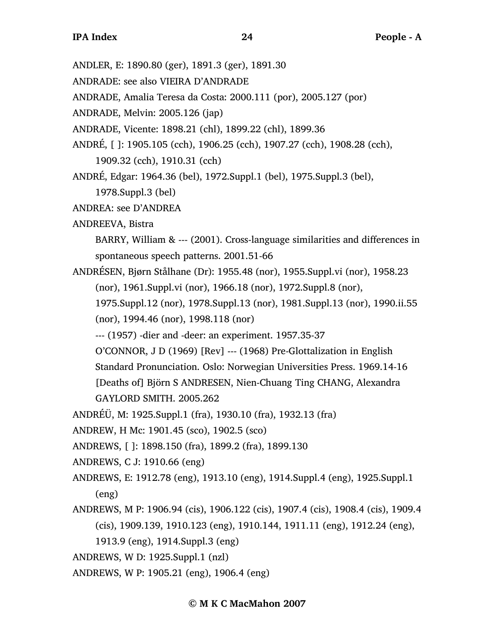- ANDLER, E: 1890.80 (ger), 1891.3 (ger), 1891.30
- ANDRADE: see also VIEIRA D'ANDRADE
- ANDRADE, Amalia Teresa da Costa: 2000.111 (por), 2005.127 (por)
- ANDRADE, Melvin: 2005.126 (jap)
- ANDRADE, Vicente: 1898.21 (chl), 1899.22 (chl), 1899.36
- ANDRÉ, [ ]: 1905.105 (cch), 1906.25 (cch), 1907.27 (cch), 1908.28 (cch), 1909.32 (cch), 1910.31 (cch)
- ANDRÉ, Edgar: 1964.36 (bel), 1972.Suppl.1 (bel), 1975.Suppl.3 (bel), 1978.Suppl.3 (bel)
- ANDREA: see D'ANDREA
- ANDREEVA, Bistra
	- BARRY, William & --- (2001). Cross-language similarities and differences in spontaneous speech patterns. 2001.51-66
- ANDRÉSEN, Bjørn Stålhane (Dr): 1955.48 (nor), 1955.Suppl.vi (nor), 1958.23 (nor), 1961.Suppl.vi (nor), 1966.18 (nor), 1972.Suppl.8 (nor),
	- 1975.Suppl.12 (nor), 1978.Suppl.13 (nor), 1981.Suppl.13 (nor), 1990.ii.55 (nor), 1994.46 (nor), 1998.118 (nor)
	- --- (1957) -dier and -deer: an experiment. 1957.35-37
	- O'CONNOR, J D (1969) [Rev] --- (1968) Pre-Glottalization in English
	- Standard Pronunciation. Oslo: Norwegian Universities Press. 1969.14-16

[Deaths of] Björn S ANDRESEN, Nien-Chuang Ting CHANG, Alexandra GAYLORD SMITH. 2005.262

- ANDRÉÜ, M: 1925.Suppl.1 (fra), 1930.10 (fra), 1932.13 (fra)
- ANDREW, H Mc: 1901.45 (sco), 1902.5 (sco)
- ANDREWS, [ ]: 1898.150 (fra), 1899.2 (fra), 1899.130
- ANDREWS, C J: 1910.66 (eng)
- ANDREWS, E: 1912.78 (eng), 1913.10 (eng), 1914.Suppl.4 (eng), 1925.Suppl.1 (eng)
- ANDREWS, M P: 1906.94 (cis), 1906.122 (cis), 1907.4 (cis), 1908.4 (cis), 1909.4 (cis), 1909.139, 1910.123 (eng), 1910.144, 1911.11 (eng), 1912.24 (eng),
	- 1913.9 (eng), 1914.Suppl.3 (eng)
- ANDREWS, W D: 1925.Suppl.1 (nzl)
- ANDREWS, W P: 1905.21 (eng), 1906.4 (eng)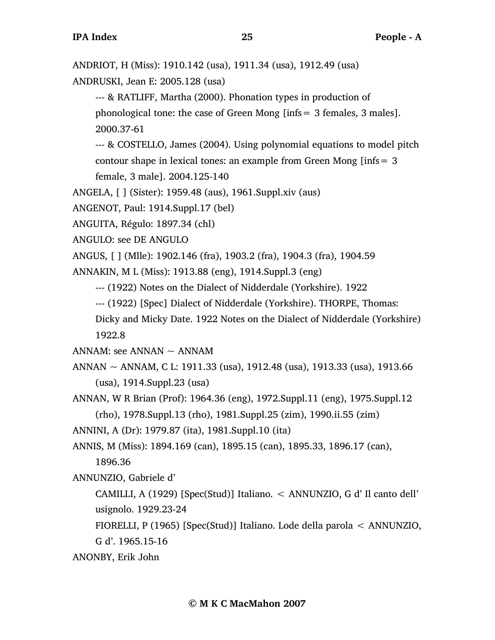ANDRIOT, H (Miss): 1910.142 (usa), 1911.34 (usa), 1912.49 (usa)

ANDRUSKI, Jean E: 2005.128 (usa)

--- & RATLIFF, Martha (2000). Phonation types in production of phonological tone: the case of Green Mong [infs= 3 females, 3 males]. 2000.37-61

--- & COSTELLO, James (2004). Using polynomial equations to model pitch contour shape in lexical tones: an example from Green Mong [infs= 3

female, 3 male]. 2004.125-140

ANGELA, [ ] (Sister): 1959.48 (aus), 1961.Suppl.xiv (aus)

ANGENOT, Paul: 1914.Suppl.17 (bel)

ANGUITA, Régulo: 1897.34 (chl)

ANGULO: see DE ANGULO

ANGUS, [ ] (Mlle): 1902.146 (fra), 1903.2 (fra), 1904.3 (fra), 1904.59

ANNAKIN, M L (Miss): 1913.88 (eng), 1914.Suppl.3 (eng)

--- (1922) Notes on the Dialect of Nidderdale (Yorkshire). 1922

--- (1922) [Spec] Dialect of Nidderdale (Yorkshire). THORPE, Thomas:

Dicky and Micky Date. 1922 Notes on the Dialect of Nidderdale (Yorkshire) 1922.8

ANNAM: see ANNAN  $\sim$  ANNAM

- ANNAN ~ ANNAM, C L: 1911.33 (usa), 1912.48 (usa), 1913.33 (usa), 1913.66 (usa), 1914.Suppl.23 (usa)
- ANNAN, W R Brian (Prof): 1964.36 (eng), 1972.Suppl.11 (eng), 1975.Suppl.12 (rho), 1978.Suppl.13 (rho), 1981.Suppl.25 (zim), 1990.ii.55 (zim)
- ANNINI, A (Dr): 1979.87 (ita), 1981.Suppl.10 (ita)

ANNIS, M (Miss): 1894.169 (can), 1895.15 (can), 1895.33, 1896.17 (can),

1896.36

ANNUNZIO, Gabriele d'

CAMILLI, A (1929) [Spec(Stud)] Italiano. < ANNUNZIO, G d' Il canto dell' usignolo. 1929.23-24

FIORELLI, P (1965) [Spec(Stud)] Italiano. Lode della parola < ANNUNZIO, G d'. 1965.15-16

ANONBY, Erik John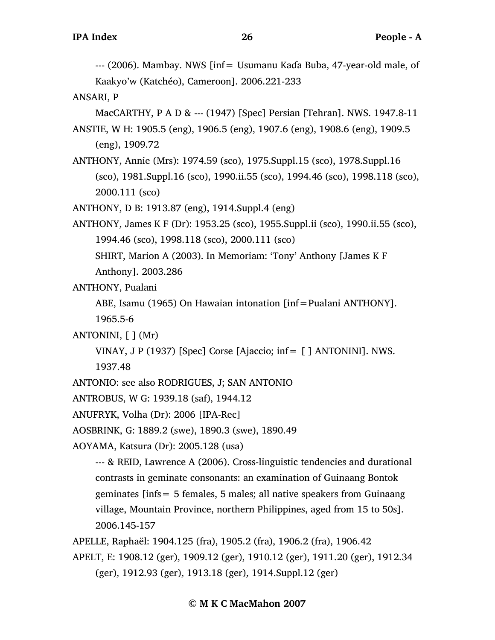--- (2006). Mambay. NWS [inf= Usumanu Kaɗa Buba, 47-year-old male, of Kaakyo'w (Katchéo), Cameroon]. 2006.221-233

ANSARI, P

MacCARTHY, P A D & --- (1947) [Spec] Persian [Tehran]. NWS. 1947.8-11

- ANSTIE, W H: 1905.5 (eng), 1906.5 (eng), 1907.6 (eng), 1908.6 (eng), 1909.5 (eng), 1909.72
- ANTHONY, Annie (Mrs): 1974.59 (sco), 1975.Suppl.15 (sco), 1978.Suppl.16 (sco), 1981.Suppl.16 (sco), 1990.ii.55 (sco), 1994.46 (sco), 1998.118 (sco), 2000.111 (sco)

ANTHONY, D B: 1913.87 (eng), 1914.Suppl.4 (eng)

ANTHONY, James K F (Dr): 1953.25 (sco), 1955.Suppl.ii (sco), 1990.ii.55 (sco), 1994.46 (sco), 1998.118 (sco), 2000.111 (sco)

SHIRT, Marion A (2003). In Memoriam: 'Tony' Anthony [James K F Anthony]. 2003.286

ANTHONY, Pualani

ABE, Isamu (1965) On Hawaian intonation [inf=Pualani ANTHONY]. 1965.5-6

ANTONINI,  $\lceil \cdot \rceil$  (Mr)

VINAY, J P (1937) [Spec] Corse [Ajaccio; inf  $=$  [ ] ANTONINI]. NWS. 1937.48

ANTONIO: see also RODRIGUES, J; SAN ANTONIO

```
ANTROBUS, W G: 1939.18 (saf), 1944.12
```
ANUFRYK, Volha (Dr): 2006 [IPA-Rec]

AOSBRINK, G: 1889.2 (swe), 1890.3 (swe), 1890.49

AOYAMA, Katsura (Dr): 2005.128 (usa)

--- & REID, Lawrence A (2006). Cross-linguistic tendencies and durational contrasts in geminate consonants: an examination of Guinaang Bontok geminates [infs= 5 females, 5 males; all native speakers from Guinaang village, Mountain Province, northern Philippines, aged from 15 to 50s]. 2006.145-157

APELLE, Raphaël: 1904.125 (fra), 1905.2 (fra), 1906.2 (fra), 1906.42

APELT, E: 1908.12 (ger), 1909.12 (ger), 1910.12 (ger), 1911.20 (ger), 1912.34 (ger), 1912.93 (ger), 1913.18 (ger), 1914.Suppl.12 (ger)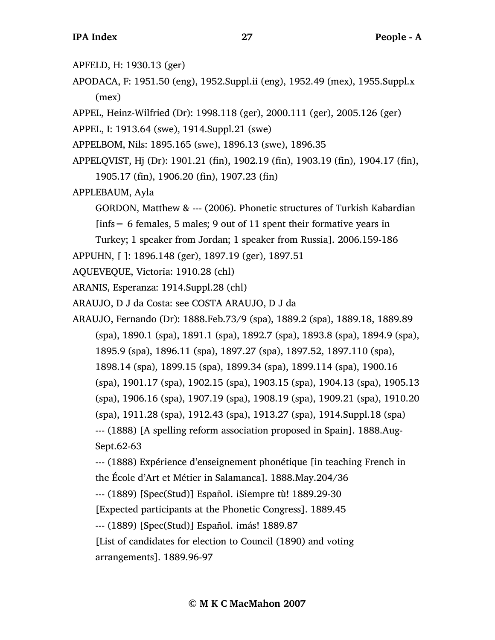- APFELD, H: 1930.13 (ger)
- APODACA, F: 1951.50 (eng), 1952.Suppl.ii (eng), 1952.49 (mex), 1955.Suppl.x (mex)
- APPEL, Heinz-Wilfried (Dr): 1998.118 (ger), 2000.111 (ger), 2005.126 (ger)

APPEL, I: 1913.64 (swe), 1914.Suppl.21 (swe)

- APPELBOM, Nils: 1895.165 (swe), 1896.13 (swe), 1896.35
- APPELQVIST, Hj (Dr): 1901.21 (fin), 1902.19 (fin), 1903.19 (fin), 1904.17 (fin), 1905.17 (fin), 1906.20 (fin), 1907.23 (fin)
- APPLEBAUM, Ayla
	- GORDON, Matthew & --- (2006). Phonetic structures of Turkish Kabardian
	- [infs= 6 females, 5 males; 9 out of 11 spent their formative years in
	- Turkey; 1 speaker from Jordan; 1 speaker from Russia]. 2006.159-186
- APPUHN, [ ]: 1896.148 (ger), 1897.19 (ger), 1897.51
- AQUEVEQUE, Victoria: 1910.28 (chl)
- ARANIS, Esperanza: 1914.Suppl.28 (chl)
- ARAUJO, D J da Costa: see COSTA ARAUJO, D J da
- ARAUJO, Fernando (Dr): 1888.Feb.73/9 (spa), 1889.2 (spa), 1889.18, 1889.89 (spa), 1890.1 (spa), 1891.1 (spa), 1892.7 (spa), 1893.8 (spa), 1894.9 (spa), 1895.9 (spa), 1896.11 (spa), 1897.27 (spa), 1897.52, 1897.110 (spa), 1898.14 (spa), 1899.15 (spa), 1899.34 (spa), 1899.114 (spa), 1900.16 (spa), 1901.17 (spa), 1902.15 (spa), 1903.15 (spa), 1904.13 (spa), 1905.13 (spa), 1906.16 (spa), 1907.19 (spa), 1908.19 (spa), 1909.21 (spa), 1910.20 (spa), 1911.28 (spa), 1912.43 (spa), 1913.27 (spa), 1914.Suppl.18 (spa) --- (1888) [A spelling reform association proposed in Spain]. 1888.Aug-Sept.62-63
	- --- (1888) Expérience d'enseignement phonétique [in teaching French in the École d'Art et Métier in Salamanca]. 1888.May.204/36
	- --- (1889) [Spec(Stud)] Español. ¡Siempre tù! 1889.29-30
	- [Expected participants at the Phonetic Congress]. 1889.45
	- --- (1889) [Spec(Stud)] Español. imás! 1889.87
	- [List of candidates for election to Council (1890) and voting arrangements]. 1889.96-97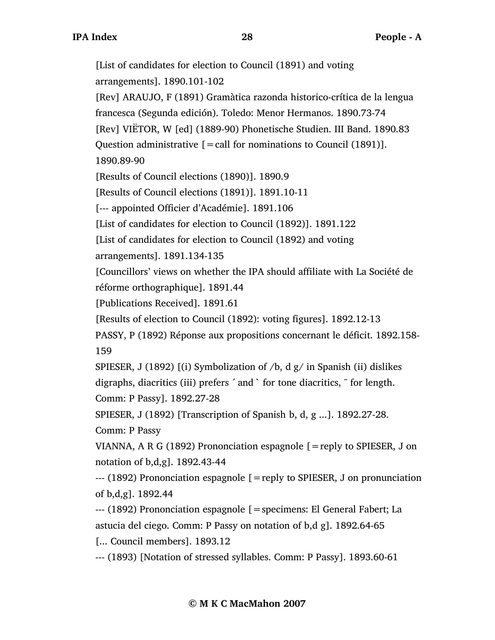[Rev] ARAUJO, F (1891) Gramàtica razonda historico-crítica de la lengua francesca (Segunda edición). Toledo: Menor Hermanos. 1890.73-74 [Rev] VIËTOR, W [ed] (1889-90) Phonetische Studien. III Band. 1890.83 Question administrative  $\mathbf{r} = \text{call}$  for nominations to Council (1891)]. 1890.89-90 [Results of Council elections (1890)]. 1890.9 [Results of Council elections (1891)]. 1891.10-11 [--- appointed Officier d'Académie]. 1891.106 [List of candidates for election to Council (1892)]. 1891.122 [List of candidates for election to Council (1892) and voting arrangements]. 1891.134-135 [Councillors' views on whether the IPA should affiliate with La Société de réforme orthographique]. 1891.44 [Publications Received]. 1891.61 [Results of election to Council (1892): voting figures]. 1892.12-13 PASSY, P (1892) Réponse aux propositions concernant le déficit. 1892.158- 159 SPIESER, J (1892) [(i) Symbolization of /b, d g/ in Spanish (ii) dislikes digraphs, diacritics (iii) prefers ´ and ` for tone diacritics, ¯ for length. Comm: P Passy]. 1892.27-28 SPIESER, J (1892) [Transcription of Spanish b, d, g ...]. 1892.27-28. Comm: P Passy VIANNA, A R G (1892) Prononciation espagnole  $[=$ reply to SPIESER, J on notation of b,d,g]. 1892.43-44 --- (1892) Prononciation espagnole [=reply to SPIESER, J on pronunciation of b,d,g]. 1892.44 --- (1892) Prononciation espagnole [=specimens: El General Fabert; La astucia del ciego. Comm: P Passy on notation of b,d g]. 1892.64-65 [... Council members]. 1893.12 --- (1893) [Notation of stressed syllables. Comm: P Passy]. 1893.60-61

[List of candidates for election to Council (1891) and voting

arrangements]. 1890.101-102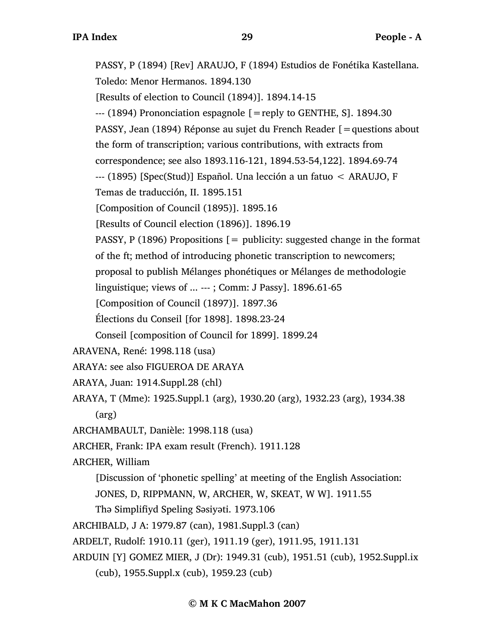PASSY, P (1894) [Rev] ARAUJO, F (1894) Estudios de Fonétika Kastellana. Toledo: Menor Hermanos. 1894.130 [Results of election to Council (1894)]. 1894.14-15  $-$ -- (1894) Prononciation espagnole  $\mathcal{F}$  = reply to GENTHE, S. 1894.30 PASSY, Jean (1894) Réponse au sujet du French Reader [=questions about the form of transcription; various contributions, with extracts from correspondence; see also 1893.116-121, 1894.53-54,122]. 1894.69-74 --- (1895) [Spec(Stud)] Español. Una lección a un fatuo < ARAUJO, F Temas de traducción, II. 1895.151 [Composition of Council (1895)]. 1895.16 [Results of Council election (1896)]. 1896.19 PASSY, P (1896) Propositions  $[=$  publicity: suggested change in the format of the ft; method of introducing phonetic transcription to newcomers; proposal to publish Mélanges phonétiques or Mélanges de methodologie linguistique; views of ... --- ; Comm: J Passy]. 1896.61-65 [Composition of Council (1897)]. 1897.36 Élections du Conseil [for 1898]. 1898.23-24 Conseil [composition of Council for 1899]. 1899.24 ARAVENA, René: 1998.118 (usa) ARAYA: see also FIGUEROA DE ARAYA ARAYA, Juan: 1914.Suppl.28 (chl) ARAYA, T (Mme): 1925.Suppl.1 (arg), 1930.20 (arg), 1932.23 (arg), 1934.38 (arg) ARCHAMBAULT, Danièle: 1998.118 (usa) ARCHER, Frank: IPA exam result (French). 1911.128 ARCHER, William [Discussion of 'phonetic spelling' at meeting of the English Association: JONES, D, RIPPMANN, W, ARCHER, W, SKEAT, W W]. 1911.55 Thə Simplifiyd Speling Səsiyəti. 1973.106 ARCHIBALD, J A: 1979.87 (can), 1981.Suppl.3 (can) ARDELT, Rudolf: 1910.11 (ger), 1911.19 (ger), 1911.95, 1911.131 ARDUIN [Y] GOMEZ MIER, J (Dr): 1949.31 (cub), 1951.51 (cub), 1952.Suppl.ix (cub), 1955.Suppl.x (cub), 1959.23 (cub)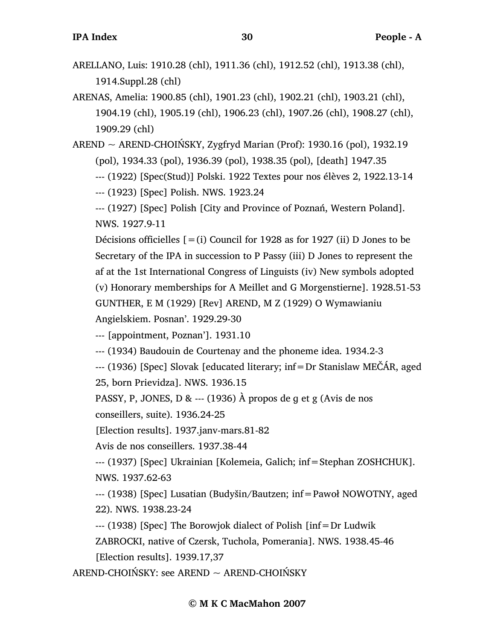- ARELLANO, Luis: 1910.28 (chl), 1911.36 (chl), 1912.52 (chl), 1913.38 (chl), 1914.Suppl.28 (chl)
- ARENAS, Amelia: 1900.85 (chl), 1901.23 (chl), 1902.21 (chl), 1903.21 (chl), 1904.19 (chl), 1905.19 (chl), 1906.23 (chl), 1907.26 (chl), 1908.27 (chl), 1909.29 (chl)

AREND  $\sim$  AREND-CHOIŃSKY, Zygfryd Marian (Prof): 1930.16 (pol), 1932.19 (pol), 1934.33 (pol), 1936.39 (pol), 1938.35 (pol), [death] 1947.35

--- (1922) [Spec(Stud)] Polski. 1922 Textes pour nos élèves 2, 1922.13-14

--- (1923) [Spec] Polish. NWS. 1923.24

--- (1927) [Spec] Polish [City and Province of Poznań, Western Poland]. NWS. 1927.9-11

Décisions officielles  $[=(i)$  Council for 1928 as for 1927 (ii) D Jones to be Secretary of the IPA in succession to P Passy (iii) D Jones to represent the af at the 1st International Congress of Linguists (iv) New symbols adopted (v) Honorary memberships for A Meillet and G Morgenstierne]. 1928.51-53 GUNTHER, E M (1929) [Rev] AREND, M Z (1929) O Wymawianiu

Angielskiem. Posnan'. 1929.29-30

--- [appointment, Poznan']. 1931.10

--- (1934) Baudouin de Courtenay and the phoneme idea. 1934.2-3

--- (1936) [Spec] Slovak [educated literary; inf=Dr Stanislaw MEČÁR, aged

25, born Prievidza]. NWS. 1936.15

PASSY, P, JONES, D & --- (1936) À propos de ɡ et g (Avis de nos

conseillers, suite). 1936.24-25

[Election results]. 1937.janv-mars.81-82

Avis de nos conseillers. 1937.38-44

--- (1937) [Spec] Ukrainian [Kolemeia, Galich; inf=Stephan ZOSHCHUK]. NWS. 1937.62-63

--- (1938) [Spec] Lusatian (Budyšin/Bautzen; inf=Pawoł NOWOTNY, aged 22). NWS. 1938.23-24

--- (1938) [Spec] The Borowjok dialect of Polish [inf=Dr Ludwik

ZABROCKI, native of Czersk, Tuchola, Pomerania]. NWS. 1938.45-46 [Election results]. 1939.17,37

AREND-CHOIŃSKY: see AREND ~ AREND-CHOIŃSKY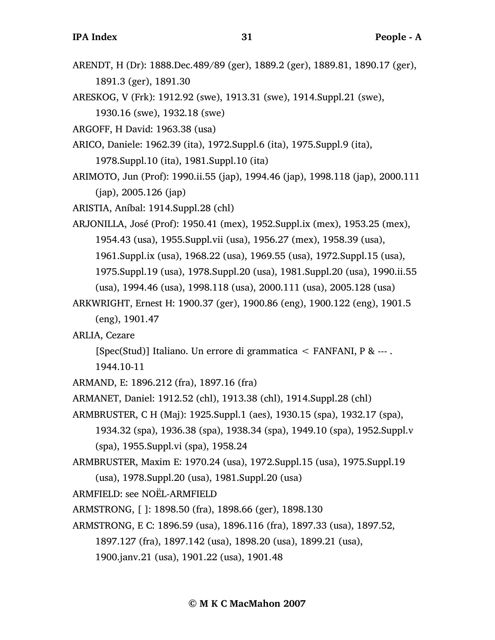- ARENDT, H (Dr): 1888.Dec.489/89 (ger), 1889.2 (ger), 1889.81, 1890.17 (ger), 1891.3 (ger), 1891.30
- ARESKOG, V (Frk): 1912.92 (swe), 1913.31 (swe), 1914.Suppl.21 (swe), 1930.16 (swe), 1932.18 (swe)

ARGOFF, H David: 1963.38 (usa)

- ARICO, Daniele: 1962.39 (ita), 1972.Suppl.6 (ita), 1975.Suppl.9 (ita), 1978.Suppl.10 (ita), 1981.Suppl.10 (ita)
- ARIMOTO, Jun (Prof): 1990.ii.55 (jap), 1994.46 (jap), 1998.118 (jap), 2000.111 (jap), 2005.126 (jap)

ARISTIA, Aníbal: 1914.Suppl.28 (chl)

- ARJONILLA, José (Prof): 1950.41 (mex), 1952.Suppl.ix (mex), 1953.25 (mex), 1954.43 (usa), 1955.Suppl.vii (usa), 1956.27 (mex), 1958.39 (usa), 1961.Suppl.ix (usa), 1968.22 (usa), 1969.55 (usa), 1972.Suppl.15 (usa), 1975.Suppl.19 (usa), 1978.Suppl.20 (usa), 1981.Suppl.20 (usa), 1990.ii.55 (usa), 1994.46 (usa), 1998.118 (usa), 2000.111 (usa), 2005.128 (usa)
- ARKWRIGHT, Ernest H: 1900.37 (ger), 1900.86 (eng), 1900.122 (eng), 1901.5 (eng), 1901.47
- ARLIA, Cezare
	- [Spec(Stud)] Italiano. Un errore di grammatica  $\leq$  FANFANI, P & ---.
	- 1944.10-11
- ARMAND, E: 1896.212 (fra), 1897.16 (fra)
- ARMANET, Daniel: 1912.52 (chl), 1913.38 (chl), 1914.Suppl.28 (chl)
- ARMBRUSTER, C H (Maj): 1925.Suppl.1 (aes), 1930.15 (spa), 1932.17 (spa),
	- 1934.32 (spa), 1936.38 (spa), 1938.34 (spa), 1949.10 (spa), 1952.Suppl.v (spa), 1955.Suppl.vi (spa), 1958.24
- ARMBRUSTER, Maxim E: 1970.24 (usa), 1972.Suppl.15 (usa), 1975.Suppl.19 (usa), 1978.Suppl.20 (usa), 1981.Suppl.20 (usa)

ARMFIELD: see NOËL-ARMFIELD

- ARMSTRONG, [ ]: 1898.50 (fra), 1898.66 (ger), 1898.130
- ARMSTRONG, E C: 1896.59 (usa), 1896.116 (fra), 1897.33 (usa), 1897.52,
	- 1897.127 (fra), 1897.142 (usa), 1898.20 (usa), 1899.21 (usa),
	- 1900.janv.21 (usa), 1901.22 (usa), 1901.48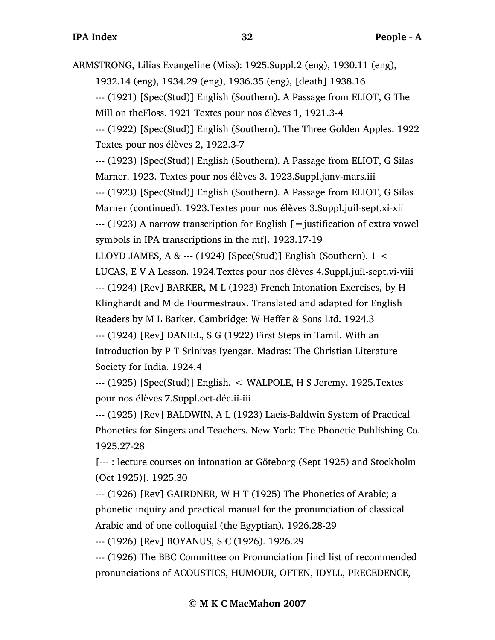ARMSTRONG, Lilias Evangeline (Miss): 1925.Suppl.2 (eng), 1930.11 (eng), 1932.14 (eng), 1934.29 (eng), 1936.35 (eng), [death] 1938.16 --- (1921) [Spec(Stud)] English (Southern). A Passage from ELIOT, G The Mill on theFloss. 1921 Textes pour nos élèves 1, 1921.3-4 --- (1922) [Spec(Stud)] English (Southern). The Three Golden Apples. 1922 Textes pour nos élèves 2, 1922.3-7 --- (1923) [Spec(Stud)] English (Southern). A Passage from ELIOT, G Silas Marner. 1923. Textes pour nos élèves 3. 1923.Suppl.janv-mars.iii --- (1923) [Spec(Stud)] English (Southern). A Passage from ELIOT, G Silas Marner (continued). 1923.Textes pour nos élèves 3.Suppl.juil-sept.xi-xii  $-$ -- (1923) A narrow transcription for English  $[$  = justification of extra vowel symbols in IPA transcriptions in the mf]. 1923.17-19 LLOYD JAMES, A & --- (1924) [Spec(Stud)] English (Southern).  $1 <$ LUCAS, E V A Lesson. 1924.Textes pour nos élèves 4.Suppl.juil-sept.vi-viii --- (1924) [Rev] BARKER, M L (1923) French Intonation Exercises, by H Klinghardt and M de Fourmestraux. Translated and adapted for English Readers by M L Barker. Cambridge: W Heffer & Sons Ltd. 1924.3 --- (1924) [Rev] DANIEL, S G (1922) First Steps in Tamil. With an Introduction by P T Srinivas Iyengar. Madras: The Christian Literature Society for India. 1924.4 --- (1925) [Spec(Stud)] English. < WALPOLE, H S Jeremy. 1925.Textes pour nos élèves 7.Suppl.oct-déc.ii-iii

--- (1925) [Rev] BALDWIN, A L (1923) Laeis-Baldwin System of Practical Phonetics for Singers and Teachers. New York: The Phonetic Publishing Co. 1925.27-28

[--- : lecture courses on intonation at Göteborg (Sept 1925) and Stockholm (Oct 1925)]. 1925.30

--- (1926) [Rev] GAIRDNER, W H T (1925) The Phonetics of Arabic; a phonetic inquiry and practical manual for the pronunciation of classical Arabic and of one colloquial (the Egyptian). 1926.28-29

--- (1926) [Rev] BOYANUS, S C (1926). 1926.29

--- (1926) The BBC Committee on Pronunciation [incl list of recommended pronunciations of ACOUSTICS, HUMOUR, OFTEN, IDYLL, PRECEDENCE,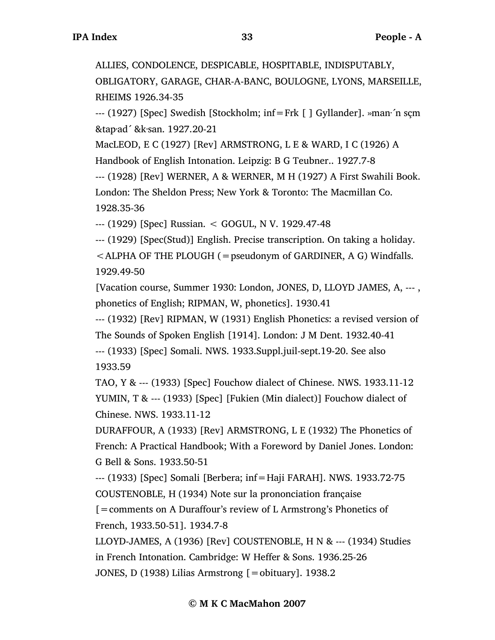ALLIES, CONDOLENCE, DESPICABLE, HOSPITABLE, INDISPUTABLY, OBLIGATORY, GARAGE, CHAR-A-BANC, BOULOGNE, LYONS, MARSEILLE, RHEIMS 1926.34-35

--- (1927) [Spec] Swedish [Stockholm; inf=Frk [ ] Gyllander]. »man·´n sçm &tap·ad´ &k·san. 1927.20-21

MacLEOD, E C (1927) [Rev] ARMSTRONG, L E & WARD, I C (1926) A Handbook of English Intonation. Leipzig: B G Teubner.. 1927.7-8

--- (1928) [Rev] WERNER, A & WERNER, M H (1927) A First Swahili Book. London: The Sheldon Press; New York & Toronto: The Macmillan Co. 1928.35-36

--- (1929) [Spec] Russian. < GOGUL, N V. 1929.47-48

--- (1929) [Spec(Stud)] English. Precise transcription. On taking a holiday.

 $\leq$  ALPHA OF THE PLOUGH (= pseudonym of GARDINER, A G) Windfalls. 1929.49-50

[Vacation course, Summer 1930: London, JONES, D, LLOYD JAMES, A, --- , phonetics of English; RIPMAN, W, phonetics]. 1930.41

--- (1932) [Rev] RIPMAN, W (1931) English Phonetics: a revised version of The Sounds of Spoken English [1914]. London: J M Dent. 1932.40-41 --- (1933) [Spec] Somali. NWS. 1933.Suppl.juil-sept.19-20. See also

1933.59

TAO, Y & --- (1933) [Spec] Fouchow dialect of Chinese. NWS. 1933.11-12 YUMIN, T & --- (1933) [Spec] [Fukien (Min dialect)] Fouchow dialect of Chinese. NWS. 1933.11-12

DURAFFOUR, A (1933) [Rev] ARMSTRONG, L E (1932) The Phonetics of French: A Practical Handbook; With a Foreword by Daniel Jones. London: G Bell & Sons. 1933.50-51

--- (1933) [Spec] Somali [Berbera; inf=Haji FARAH]. NWS. 1933.72-75 COUSTENOBLE, H (1934) Note sur la prononciation française

[=comments on A Duraffour's review of L Armstrong's Phonetics of French, 1933.50-51]. 1934.7-8

LLOYD-JAMES, A (1936) [Rev] COUSTENOBLE, H N & --- (1934) Studies in French Intonation. Cambridge: W Heffer & Sons. 1936.25-26 JONES, D (1938) Lilias Armstrong [=obituary]. 1938.2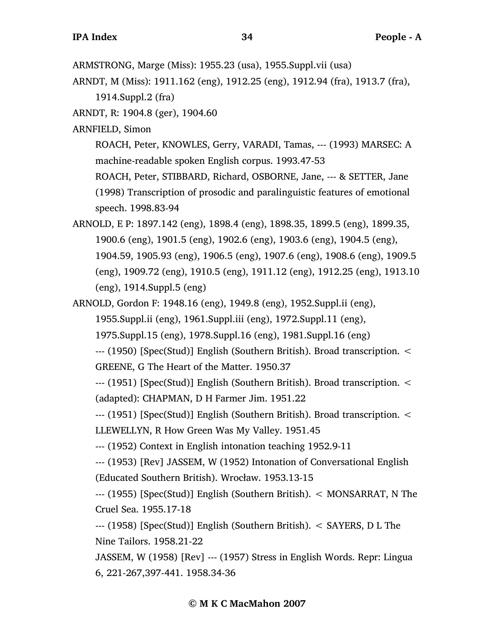ARNDT, M (Miss): 1911.162 (eng), 1912.25 (eng), 1912.94 (fra), 1913.7 (fra), 1914.Suppl.2 (fra)

ARNDT, R: 1904.8 (ger), 1904.60

ARNFIELD, Simon

ROACH, Peter, KNOWLES, Gerry, VARADI, Tamas, --- (1993) MARSEC: A machine-readable spoken English corpus. 1993.47-53

ROACH, Peter, STIBBARD, Richard, OSBORNE, Jane, --- & SETTER, Jane (1998) Transcription of prosodic and paralinguistic features of emotional speech. 1998.83-94

ARNOLD, E P: 1897.142 (eng), 1898.4 (eng), 1898.35, 1899.5 (eng), 1899.35, 1900.6 (eng), 1901.5 (eng), 1902.6 (eng), 1903.6 (eng), 1904.5 (eng), 1904.59, 1905.93 (eng), 1906.5 (eng), 1907.6 (eng), 1908.6 (eng), 1909.5 (eng), 1909.72 (eng), 1910.5 (eng), 1911.12 (eng), 1912.25 (eng), 1913.10 (eng), 1914.Suppl.5 (eng)

ARNOLD, Gordon F: 1948.16 (eng), 1949.8 (eng), 1952.Suppl.ii (eng), 1955.Suppl.ii (eng), 1961.Suppl.iii (eng), 1972.Suppl.11 (eng), 1975.Suppl.15 (eng), 1978.Suppl.16 (eng), 1981.Suppl.16 (eng)

--- (1950) [Spec(Stud)] English (Southern British). Broad transcription. < GREENE, G The Heart of the Matter. 1950.37

--- (1951) [Spec(Stud)] English (Southern British). Broad transcription. < (adapted): CHAPMAN, D H Farmer Jim. 1951.22

--- (1951) [Spec(Stud)] English (Southern British). Broad transcription. <

LLEWELLYN, R How Green Was My Valley. 1951.45

--- (1952) Context in English intonation teaching 1952.9-11

--- (1953) [Rev] JASSEM, W (1952) Intonation of Conversational English (Educated Southern British). Wrocław. 1953.13-15

--- (1955) [Spec(Stud)] English (Southern British). < MONSARRAT, N The Cruel Sea. 1955.17-18

--- (1958) [Spec(Stud)] English (Southern British). < SAYERS, D L The Nine Tailors. 1958.21-22

JASSEM, W (1958) [Rev] --- (1957) Stress in English Words. Repr: Lingua 6, 221-267,397-441. 1958.34-36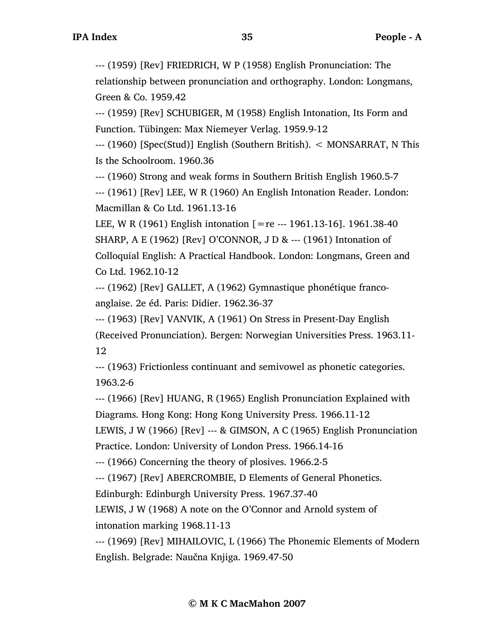--- (1959) [Rev] FRIEDRICH, W P (1958) English Pronunciation: The relationship between pronunciation and orthography. London: Longmans, Green & Co. 1959.42

--- (1959) [Rev] SCHUBIGER, M (1958) English Intonation, Its Form and Function. Tübingen: Max Niemeyer Verlag. 1959.9-12

--- (1960) [Spec(Stud)] English (Southern British). < MONSARRAT, N This Is the Schoolroom. 1960.36

--- (1960) Strong and weak forms in Southern British English 1960.5-7

--- (1961) [Rev] LEE, W R (1960) An English Intonation Reader. London: Macmillan & Co Ltd. 1961.13-16

LEE, W R (1961) English intonation  $[=$  re --- 1961.13-16]. 1961.38-40 SHARP, A E (1962) [Rev] O'CONNOR, J D & --- (1961) Intonation of Colloquial English: A Practical Handbook. London: Longmans, Green and Co Ltd. 1962.10-12

--- (1962) [Rev] GALLET, A (1962) Gymnastique phonétique francoanglaise. 2e éd. Paris: Didier. 1962.36-37

--- (1963) [Rev] VANVIK, A (1961) On Stress in Present-Day English (Received Pronunciation). Bergen: Norwegian Universities Press. 1963.11- 12

--- (1963) Frictionless continuant and semivowel as phonetic categories. 1963.2-6

--- (1966) [Rev] HUANG, R (1965) English Pronunciation Explained with Diagrams. Hong Kong: Hong Kong University Press. 1966.11-12

LEWIS, J W (1966) [Rev] --- & GIMSON, A C (1965) English Pronunciation Practice. London: University of London Press. 1966.14-16

--- (1966) Concerning the theory of plosives. 1966.2-5

--- (1967) [Rev] ABERCROMBIE, D Elements of General Phonetics.

Edinburgh: Edinburgh University Press. 1967.37-40

LEWIS, J W (1968) A note on the O'Connor and Arnold system of intonation marking 1968.11-13

--- (1969) [Rev] MIHAILOVIC, L (1966) The Phonemic Elements of Modern English. Belgrade: Naučna Knjiga. 1969.47-50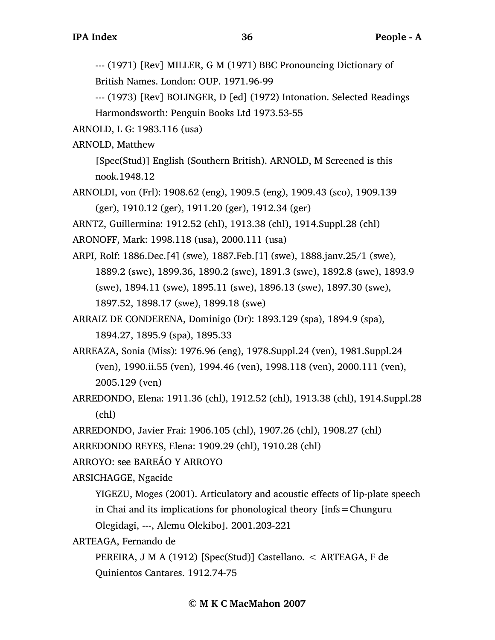--- (1971) [Rev] MILLER, G M (1971) BBC Pronouncing Dictionary of British Names. London: OUP. 1971.96-99

--- (1973) [Rev] BOLINGER, D [ed] (1972) Intonation. Selected Readings Harmondsworth: Penguin Books Ltd 1973.53-55

ARNOLD, L G: 1983.116 (usa)

ARNOLD, Matthew

[Spec(Stud)] English (Southern British). ARNOLD, M Screened is this nook.1948.12

ARNOLDI, von (Frl): 1908.62 (eng), 1909.5 (eng), 1909.43 (sco), 1909.139 (ger), 1910.12 (ger), 1911.20 (ger), 1912.34 (ger)

ARNTZ, Guillermina: 1912.52 (chl), 1913.38 (chl), 1914.Suppl.28 (chl)

ARONOFF, Mark: 1998.118 (usa), 2000.111 (usa)

ARPI, Rolf: 1886.Dec.[4] (swe), 1887.Feb.[1] (swe), 1888.janv.25/1 (swe), 1889.2 (swe), 1899.36, 1890.2 (swe), 1891.3 (swe), 1892.8 (swe), 1893.9 (swe), 1894.11 (swe), 1895.11 (swe), 1896.13 (swe), 1897.30 (swe), 1897.52, 1898.17 (swe), 1899.18 (swe)

ARRAIZ DE CONDERENA, Dominigo (Dr): 1893.129 (spa), 1894.9 (spa), 1894.27, 1895.9 (spa), 1895.33

ARREAZA, Sonia (Miss): 1976.96 (eng), 1978.Suppl.24 (ven), 1981.Suppl.24 (ven), 1990.ii.55 (ven), 1994.46 (ven), 1998.118 (ven), 2000.111 (ven), 2005.129 (ven)

ARREDONDO, Elena: 1911.36 (chl), 1912.52 (chl), 1913.38 (chl), 1914.Suppl.28 (chl)

ARREDONDO, Javier Frai: 1906.105 (chl), 1907.26 (chl), 1908.27 (chl)

ARREDONDO REYES, Elena: 1909.29 (chl), 1910.28 (chl)

ARROYO: see BAREÁO Y ARROYO

ARSICHAGGE, Ngacide

YIGEZU, Moges (2001). Articulatory and acoustic effects of lip-plate speech in Chai and its implications for phonological theory [infs=Chunguru Olegidagi, ---, Alemu Olekibo]. 2001.203-221

ARTEAGA, Fernando de

PEREIRA, J M A (1912) [Spec(Stud)] Castellano. < ARTEAGA, F de Quinientos Cantares. 1912.74-75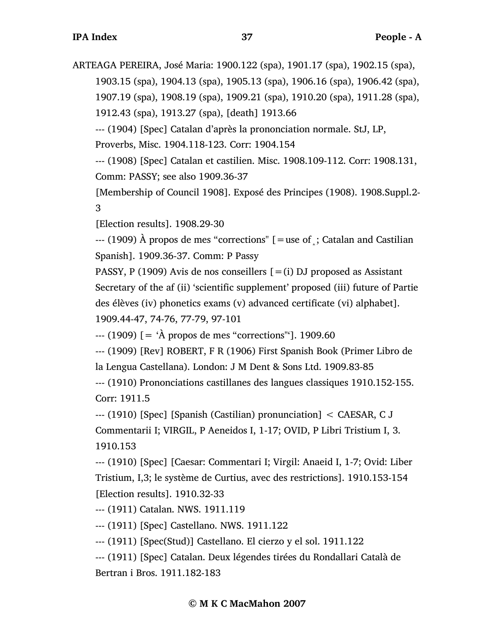ARTEAGA PEREIRA, José Maria: 1900.122 (spa), 1901.17 (spa), 1902.15 (spa), 1903.15 (spa), 1904.13 (spa), 1905.13 (spa), 1906.16 (spa), 1906.42 (spa), 1907.19 (spa), 1908.19 (spa), 1909.21 (spa), 1910.20 (spa), 1911.28 (spa), 1912.43 (spa), 1913.27 (spa), [death] 1913.66 --- (1904) [Spec] Catalan d'après la prononciation normale. StJ, LP,

Proverbs, Misc. 1904.118-123. Corr: 1904.154

--- (1908) [Spec] Catalan et castilien. Misc. 1908.109-112. Corr: 1908.131, Comm: PASSY; see also 1909.36-37

[Membership of Council 1908]. Exposé des Principes (1908). 1908.Suppl.2- 3

[Election results]. 1908.29-30

 $-$ --- (1909) À propos de mes "corrections" [=use of ; Catalan and Castilian Spanish]. 1909.36-37. Comm: P Passy

PASSY, P (1909) Avis de nos conseillers  $[=(i)$  DJ proposed as Assistant Secretary of the af (ii) 'scientific supplement' proposed (iii) future of Partie des élèves (iv) phonetics exams (v) advanced certificate (vi) alphabet]. 1909.44-47, 74-76, 77-79, 97-101

 $-$ -- $(1909)$   $[$  = ' $\AA$  propos de mes "corrections"'], 1909.60

--- (1909) [Rev] ROBERT, F R (1906) First Spanish Book (Primer Libro de la Lengua Castellana). London: J M Dent & Sons Ltd. 1909.83-85

--- (1910) Prononciations castillanes des langues classiques 1910.152-155. Corr: 1911.5

--- (1910) [Spec] [Spanish (Castilian) pronunciation] < CAESAR, C J Commentarii I; VIRGIL, P Aeneidos I, 1-17; OVID, P Libri Tristium I, 3. 1910.153

--- (1910) [Spec] [Caesar: Commentari I; Virgil: Anaeid I, 1-7; Ovid: Liber Tristium, I,3; le système de Curtius, avec des restrictions]. 1910.153-154 [Election results]. 1910.32-33

--- (1911) Catalan. NWS. 1911.119

--- (1911) [Spec] Castellano. NWS. 1911.122

--- (1911) [Spec(Stud)] Castellano. El cierzo y el sol. 1911.122

--- (1911) [Spec] Catalan. Deux légendes tirées du Rondallari Català de Bertran i Bros. 1911.182-183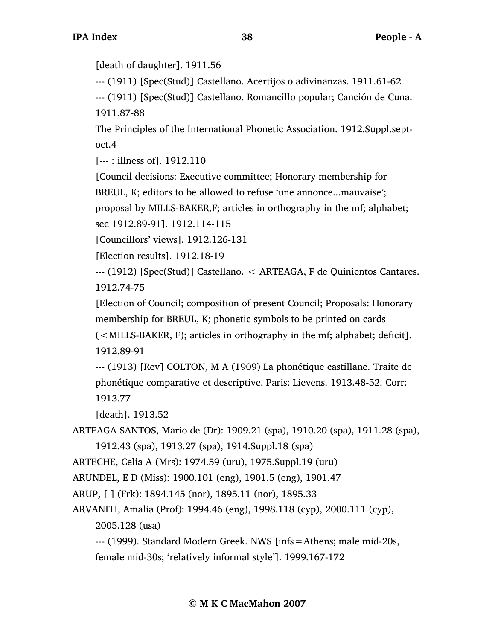[death of daughter]. 1911.56

--- (1911) [Spec(Stud)] Castellano. Acertijos o adivinanzas. 1911.61-62

--- (1911) [Spec(Stud)] Castellano. Romancillo popular; Canción de Cuna. 1911.87-88

The Principles of the International Phonetic Association. 1912.Suppl.septoct.4

[--- : illness of]. 1912.110

[Council decisions: Executive committee; Honorary membership for

BREUL, K; editors to be allowed to refuse 'une annonce...mauvaise';

proposal by MILLS-BAKER,F; articles in orthography in the mf; alphabet;

see 1912.89-91]. 1912.114-115

[Councillors' views]. 1912.126-131

[Election results]. 1912.18-19

--- (1912) [Spec(Stud)] Castellano. < ARTEAGA, F de Quinientos Cantares. 1912.74-75

[Election of Council; composition of present Council; Proposals: Honorary membership for BREUL, K; phonetic symbols to be printed on cards

(<MILLS-BAKER, F); articles in orthography in the mf; alphabet; deficit]. 1912.89-91

--- (1913) [Rev] COLTON, M A (1909) La phonétique castillane. Traite de phonétique comparative et descriptive. Paris: Lievens. 1913.48-52. Corr: 1913.77

[death]. 1913.52

ARTEAGA SANTOS, Mario de (Dr): 1909.21 (spa), 1910.20 (spa), 1911.28 (spa), 1912.43 (spa), 1913.27 (spa), 1914.Suppl.18 (spa)

ARTECHE, Celia A (Mrs): 1974.59 (uru), 1975.Suppl.19 (uru)

ARUNDEL, E D (Miss): 1900.101 (eng), 1901.5 (eng), 1901.47

ARUP, [ ] (Frk): 1894.145 (nor), 1895.11 (nor), 1895.33

ARVANITI, Amalia (Prof): 1994.46 (eng), 1998.118 (cyp), 2000.111 (cyp), 2005.128 (usa)

--- (1999). Standard Modern Greek. NWS [infs=Athens; male mid-20s, female mid-30s; 'relatively informal style']. 1999.167-172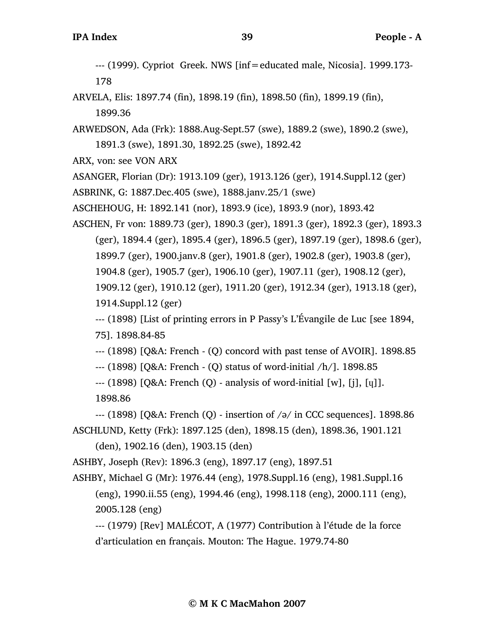--- (1999). Cypriot Greek. NWS [inf=educated male, Nicosia]. 1999.173- 178

- ARVELA, Elis: 1897.74 (fin), 1898.19 (fin), 1898.50 (fin), 1899.19 (fin), 1899.36
- ARWEDSON, Ada (Frk): 1888.Aug-Sept.57 (swe), 1889.2 (swe), 1890.2 (swe), 1891.3 (swe), 1891.30, 1892.25 (swe), 1892.42
- ARX, von: see VON ARX

ASANGER, Florian (Dr): 1913.109 (ger), 1913.126 (ger), 1914.Suppl.12 (ger)

ASBRINK, G: 1887.Dec.405 (swe), 1888.janv.25/1 (swe)

ASCHEHOUG, H: 1892.141 (nor), 1893.9 (ice), 1893.9 (nor), 1893.42

ASCHEN, Fr von: 1889.73 (ger), 1890.3 (ger), 1891.3 (ger), 1892.3 (ger), 1893.3 (ger), 1894.4 (ger), 1895.4 (ger), 1896.5 (ger), 1897.19 (ger), 1898.6 (ger), 1899.7 (ger), 1900.janv.8 (ger), 1901.8 (ger), 1902.8 (ger), 1903.8 (ger), 1904.8 (ger), 1905.7 (ger), 1906.10 (ger), 1907.11 (ger), 1908.12 (ger), 1909.12 (ger), 1910.12 (ger), 1911.20 (ger), 1912.34 (ger), 1913.18 (ger), 1914.Suppl.12 (ger)

--- (1898) [List of printing errors in P Passy's L'Évangile de Luc [see 1894, 75]. 1898.84-85

--- (1898) [Q&A: French - (Q) concord with past tense of AVOIR]. 1898.85

--- (1898) [Q&A: French - (Q) status of word-initial /h/]. 1898.85

 $-$  (1898) [Q&A: French (Q) - analysis of word-initial [w], [i], [u]]. 1898.86

--- (1898) [Q&A: French (Q) - insertion of /ə/ in CCC sequences]. 1898.86

ASCHLUND, Ketty (Frk): 1897.125 (den), 1898.15 (den), 1898.36, 1901.121 (den), 1902.16 (den), 1903.15 (den)

ASHBY, Joseph (Rev): 1896.3 (eng), 1897.17 (eng), 1897.51

ASHBY, Michael G (Mr): 1976.44 (eng), 1978.Suppl.16 (eng), 1981.Suppl.16 (eng), 1990.ii.55 (eng), 1994.46 (eng), 1998.118 (eng), 2000.111 (eng), 2005.128 (eng)

--- (1979) [Rev] MALÉCOT, A (1977) Contribution à l'étude de la force d'articulation en français. Mouton: The Hague. 1979.74-80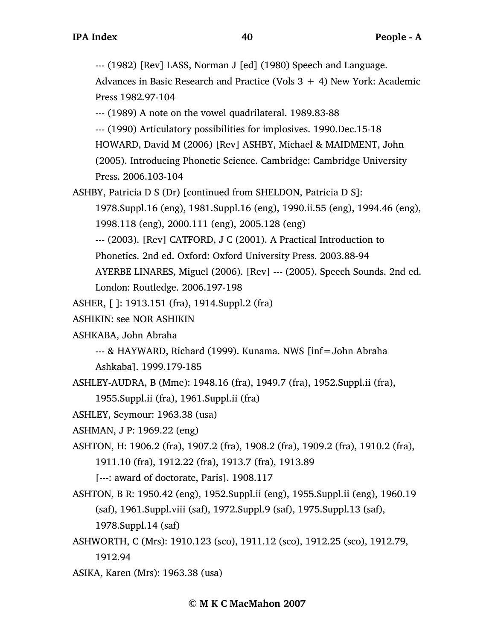--- (1982) [Rev] LASS, Norman J [ed] (1980) Speech and Language.

Advances in Basic Research and Practice (Vols  $3 + 4$ ) New York: Academic Press 1982.97-104

--- (1989) A note on the vowel quadrilateral. 1989.83-88

--- (1990) Articulatory possibilities for implosives. 1990.Dec.15-18

HOWARD, David M (2006) [Rev] ASHBY, Michael & MAIDMENT, John

(2005). Introducing Phonetic Science. Cambridge: Cambridge University Press. 2006.103-104

ASHBY, Patricia D S (Dr) [continued from SHELDON, Patricia D S]:

1978.Suppl.16 (eng), 1981.Suppl.16 (eng), 1990.ii.55 (eng), 1994.46 (eng),

1998.118 (eng), 2000.111 (eng), 2005.128 (eng)

--- (2003). [Rev] CATFORD, J C (2001). A Practical Introduction to

Phonetics. 2nd ed. Oxford: Oxford University Press. 2003.88-94

AYERBE LINARES, Miguel (2006). [Rev] --- (2005). Speech Sounds. 2nd ed.

London: Routledge. 2006.197-198

ASHER, [ ]: 1913.151 (fra), 1914.Suppl.2 (fra)

ASHIKIN: see NOR ASHIKIN

ASHKABA, John Abraha

--- & HAYWARD, Richard (1999). Kunama. NWS [inf=John Abraha

Ashkaba]. 1999.179-185

ASHLEY-AUDRA, B (Mme): 1948.16 (fra), 1949.7 (fra), 1952.Suppl.ii (fra),

1955.Suppl.ii (fra), 1961.Suppl.ii (fra)

ASHLEY, Seymour: 1963.38 (usa)

ASHMAN, J P: 1969.22 (eng)

ASHTON, H: 1906.2 (fra), 1907.2 (fra), 1908.2 (fra), 1909.2 (fra), 1910.2 (fra), 1911.10 (fra), 1912.22 (fra), 1913.7 (fra), 1913.89

[---: award of doctorate, Paris]. 1908.117

ASHTON, B R: 1950.42 (eng), 1952.Suppl.ii (eng), 1955.Suppl.ii (eng), 1960.19 (saf), 1961.Suppl.viii (saf), 1972.Suppl.9 (saf), 1975.Suppl.13 (saf), 1978.Suppl.14 (saf)

ASHWORTH, C (Mrs): 1910.123 (sco), 1911.12 (sco), 1912.25 (sco), 1912.79, 1912.94

ASIKA, Karen (Mrs): 1963.38 (usa)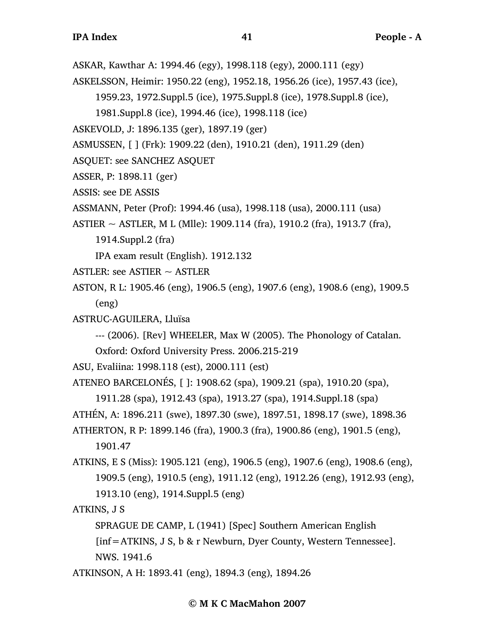- ASKAR, Kawthar A: 1994.46 (egy), 1998.118 (egy), 2000.111 (egy)
- ASKELSSON, Heimir: 1950.22 (eng), 1952.18, 1956.26 (ice), 1957.43 (ice),

1959.23, 1972.Suppl.5 (ice), 1975.Suppl.8 (ice), 1978.Suppl.8 (ice),

1981.Suppl.8 (ice), 1994.46 (ice), 1998.118 (ice)

ASKEVOLD, J: 1896.135 (ger), 1897.19 (ger)

ASMUSSEN, [ ] (Frk): 1909.22 (den), 1910.21 (den), 1911.29 (den)

- ASQUET: see SANCHEZ ASQUET
- ASSER, P: 1898.11 (ger)

ASSIS: see DE ASSIS

ASSMANN, Peter (Prof): 1994.46 (usa), 1998.118 (usa), 2000.111 (usa)

ASTIER  $\sim$  ASTLER, M L (Mlle): 1909.114 (fra), 1910.2 (fra), 1913.7 (fra),

1914.Suppl.2 (fra)

IPA exam result (English). 1912.132

- ASTLER: see ASTIER  $\sim$  ASTLER
- ASTON, R L: 1905.46 (eng), 1906.5 (eng), 1907.6 (eng), 1908.6 (eng), 1909.5 (eng)
- ASTRUC-AGUILERA, Lluïsa
	- --- (2006). [Rev] WHEELER, Max W (2005). The Phonology of Catalan.

Oxford: Oxford University Press. 2006.215-219

ASU, Evaliina: 1998.118 (est), 2000.111 (est)

ATENEO BARCELONÉS, [ ]: 1908.62 (spa), 1909.21 (spa), 1910.20 (spa),

```
1911.28 (spa), 1912.43 (spa), 1913.27 (spa), 1914.Suppl.18 (spa)
```
ATHÉN, A: 1896.211 (swe), 1897.30 (swe), 1897.51, 1898.17 (swe), 1898.36

ATHERTON, R P: 1899.146 (fra), 1900.3 (fra), 1900.86 (eng), 1901.5 (eng), 1901.47

ATKINS, E S (Miss): 1905.121 (eng), 1906.5 (eng), 1907.6 (eng), 1908.6 (eng), 1909.5 (eng), 1910.5 (eng), 1911.12 (eng), 1912.26 (eng), 1912.93 (eng), 1913.10 (eng), 1914.Suppl.5 (eng)

ATKINS, J S

SPRAGUE DE CAMP, L (1941) [Spec] Southern American English

[inf=ATKINS, J S, b & r Newburn, Dyer County, Western Tennessee].

NWS. 1941.6

ATKINSON, A H: 1893.41 (eng), 1894.3 (eng), 1894.26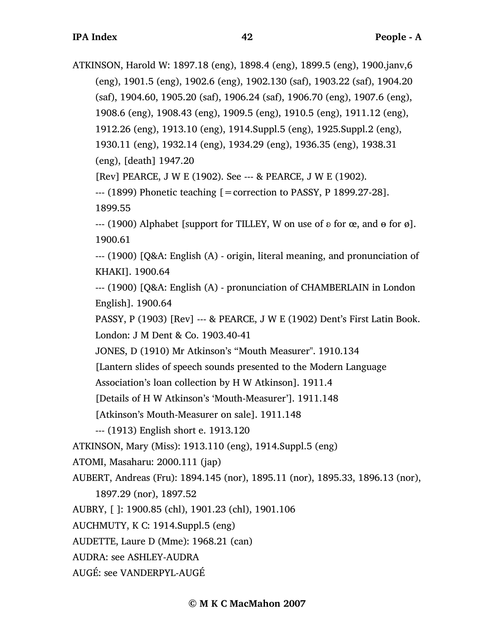ATKINSON, Harold W: 1897.18 (eng), 1898.4 (eng), 1899.5 (eng), 1900.janv,6 (eng), 1901.5 (eng), 1902.6 (eng), 1902.130 (saf), 1903.22 (saf), 1904.20 (saf), 1904.60, 1905.20 (saf), 1906.24 (saf), 1906.70 (eng), 1907.6 (eng), 1908.6 (eng), 1908.43 (eng), 1909.5 (eng), 1910.5 (eng), 1911.12 (eng), 1912.26 (eng), 1913.10 (eng), 1914.Suppl.5 (eng), 1925.Suppl.2 (eng), 1930.11 (eng), 1932.14 (eng), 1934.29 (eng), 1936.35 (eng), 1938.31 (eng), [death] 1947.20 [Rev] PEARCE, J W E (1902). See --- & PEARCE, J W E (1902).

 $-$  (1899) Phonetic teaching  $[ =$  correction to PASSY, P 1899.27-28].

1899.55

 $-$ -- (1900) Alphabet [support for TILLEY, W on use of  $\delta$  for  $\alpha$ , and  $\theta$  for  $\emptyset$ ]. 1900.61

--- (1900) [Q&A: English (A) - origin, literal meaning, and pronunciation of KHAKI]. 1900.64

--- (1900) [Q&A: English (A) - pronunciation of CHAMBERLAIN in London English]. 1900.64

PASSY, P (1903) [Rev] --- & PEARCE, J W E (1902) Dent's First Latin Book. London: J M Dent & Co. 1903.40-41

JONES, D (1910) Mr Atkinson's "Mouth Measurer". 1910.134

[Lantern slides of speech sounds presented to the Modern Language

Association's loan collection by H W Atkinson]. 1911.4

[Details of H W Atkinson's 'Mouth-Measurer']. 1911.148

[Atkinson's Mouth-Measurer on sale]. 1911.148

--- (1913) English short e. 1913.120

ATKINSON, Mary (Miss): 1913.110 (eng), 1914.Suppl.5 (eng)

ATOMI, Masaharu: 2000.111 (jap)

AUBERT, Andreas (Fru): 1894.145 (nor), 1895.11 (nor), 1895.33, 1896.13 (nor), 1897.29 (nor), 1897.52

AUBRY, [ ]: 1900.85 (chl), 1901.23 (chl), 1901.106

AUCHMUTY, K C: 1914.Suppl.5 (eng)

AUDETTE, Laure D (Mme): 1968.21 (can)

AUDRA: see ASHLEY-AUDRA

AUGÉ: see VANDERPYL-AUGÉ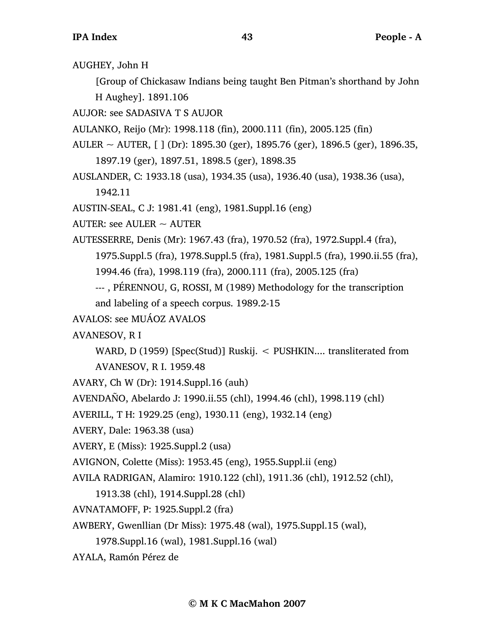AUGHEY, John H

[Group of Chickasaw Indians being taught Ben Pitman's shorthand by John H Aughey]. 1891.106

AUJOR: see SADASIVA T S AUJOR

AULANKO, Reijo (Mr): 1998.118 (fin), 2000.111 (fin), 2005.125 (fin)

AULER  $\sim$  AUTER, [ ] (Dr): 1895.30 (ger), 1895.76 (ger), 1896.5 (ger), 1896.35, 1897.19 (ger), 1897.51, 1898.5 (ger), 1898.35

AUSLANDER, C: 1933.18 (usa), 1934.35 (usa), 1936.40 (usa), 1938.36 (usa),

1942.11

AUSTIN-SEAL, C J: 1981.41 (eng), 1981.Suppl.16 (eng)

AUTER: see AULER  $\sim$  AUTER

AUTESSERRE, Denis (Mr): 1967.43 (fra), 1970.52 (fra), 1972.Suppl.4 (fra),

1975.Suppl.5 (fra), 1978.Suppl.5 (fra), 1981.Suppl.5 (fra), 1990.ii.55 (fra),

1994.46 (fra), 1998.119 (fra), 2000.111 (fra), 2005.125 (fra)

--- , PÉRENNOU, G, ROSSI, M (1989) Methodology for the transcription and labeling of a speech corpus. 1989.2-15

AVALOS: see MUÁOZ AVALOS

AVANESOV, R I

WARD, D (1959) [Spec(Stud)] Ruskij. < PUSHKIN.... transliterated from AVANESOV, R I. 1959.48

AVARY, Ch W (Dr): 1914.Suppl.16 (auh)

AVENDAÑO, Abelardo J: 1990.ii.55 (chl), 1994.46 (chl), 1998.119 (chl)

AVERILL, T H: 1929.25 (eng), 1930.11 (eng), 1932.14 (eng)

AVERY, Dale: 1963.38 (usa)

AVERY, E (Miss): 1925.Suppl.2 (usa)

AVIGNON, Colette (Miss): 1953.45 (eng), 1955.Suppl.ii (eng)

AVILA RADRIGAN, Alamiro: 1910.122 (chl), 1911.36 (chl), 1912.52 (chl),

1913.38 (chl), 1914.Suppl.28 (chl)

AVNATAMOFF, P: 1925.Suppl.2 (fra)

AWBERY, Gwenllian (Dr Miss): 1975.48 (wal), 1975.Suppl.15 (wal),

1978.Suppl.16 (wal), 1981.Suppl.16 (wal)

AYALA, Ramón Pérez de